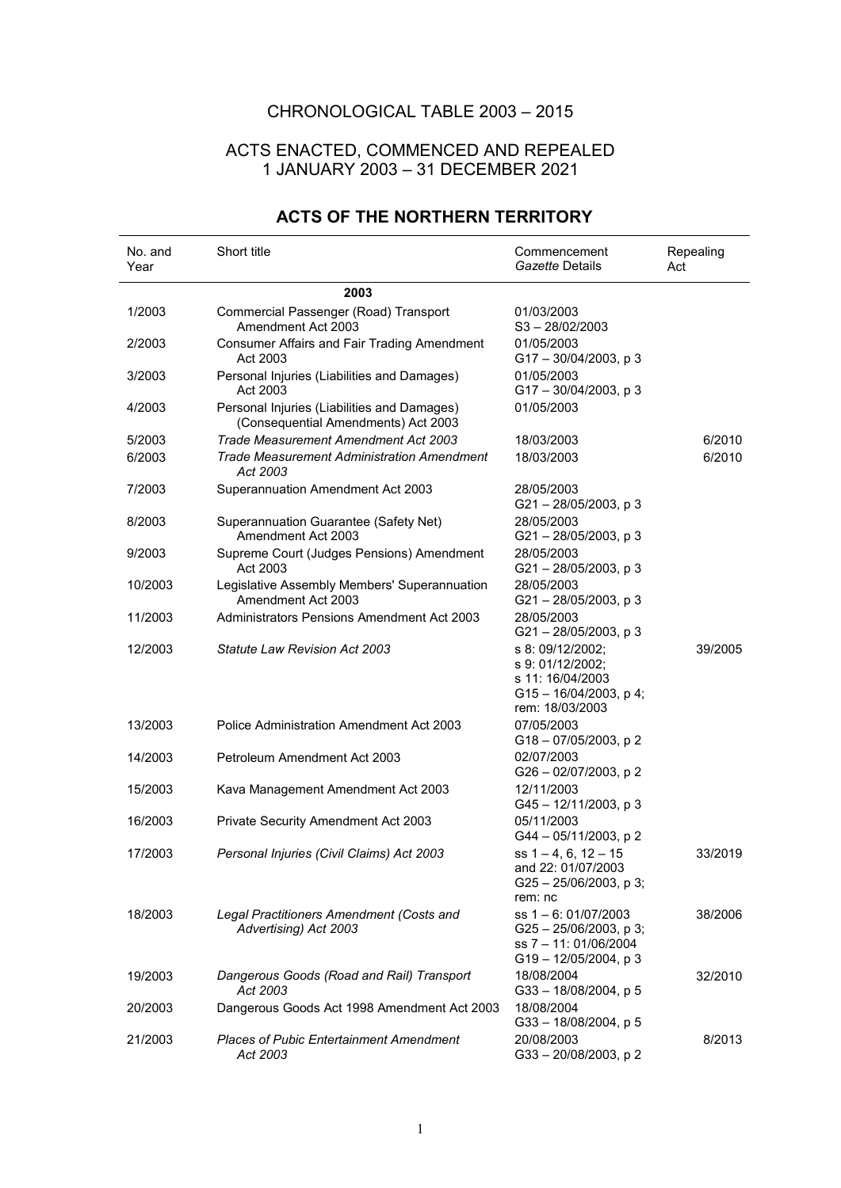## CHRONOLOGICAL TABLE 2003 – 2015

## ACTS ENACTED, COMMENCED AND REPEALED 1 JANUARY 2003 – 31 DECEMBER 2021

| No. and<br>Year | Short title                                                                        | Commencement<br>Gazette Details                                                                      | Repealing<br>Act |
|-----------------|------------------------------------------------------------------------------------|------------------------------------------------------------------------------------------------------|------------------|
|                 | 2003                                                                               |                                                                                                      |                  |
| 1/2003          | Commercial Passenger (Road) Transport<br>Amendment Act 2003                        | 01/03/2003<br>$S3 - 28/02/2003$                                                                      |                  |
| 2/2003          | <b>Consumer Affairs and Fair Trading Amendment</b><br>Act 2003                     | 01/05/2003<br>$G17 - 30/04/2003$ , p 3                                                               |                  |
| 3/2003          | Personal Injuries (Liabilities and Damages)<br>Act 2003                            | 01/05/2003<br>$G17 - 30/04/2003$ , p 3                                                               |                  |
| 4/2003          | Personal Injuries (Liabilities and Damages)<br>(Consequential Amendments) Act 2003 | 01/05/2003                                                                                           |                  |
| 5/2003          | Trade Measurement Amendment Act 2003                                               | 18/03/2003                                                                                           | 6/2010           |
| 6/2003          | <b>Trade Measurement Administration Amendment</b><br>Act 2003                      | 18/03/2003                                                                                           | 6/2010           |
| 7/2003          | Superannuation Amendment Act 2003                                                  | 28/05/2003<br>G21-28/05/2003, p3                                                                     |                  |
| 8/2003          | Superannuation Guarantee (Safety Net)<br>Amendment Act 2003                        | 28/05/2003<br>G21-28/05/2003, p3                                                                     |                  |
| 9/2003          | Supreme Court (Judges Pensions) Amendment<br>Act 2003                              | 28/05/2003<br>$G21 - 28/05/2003$ , p 3                                                               |                  |
| 10/2003         | Legislative Assembly Members' Superannuation<br>Amendment Act 2003                 | 28/05/2003<br>$G21 - 28/05/2003$ , p 3                                                               |                  |
| 11/2003         | Administrators Pensions Amendment Act 2003                                         | 28/05/2003<br>$G21 - 28/05/2003$ , p 3                                                               |                  |
| 12/2003         | <b>Statute Law Revision Act 2003</b>                                               | s 8: 09/12/2002;<br>s 9: 01/12/2002;<br>s 11: 16/04/2003<br>G15-16/04/2003, p 4;<br>rem: 18/03/2003  | 39/2005          |
| 13/2003         | Police Administration Amendment Act 2003                                           | 07/05/2003<br>G18-07/05/2003, p2                                                                     |                  |
| 14/2003         | Petroleum Amendment Act 2003                                                       | 02/07/2003<br>G26 - 02/07/2003, p 2                                                                  |                  |
| 15/2003         | Kava Management Amendment Act 2003                                                 | 12/11/2003<br>G45-12/11/2003, p 3                                                                    |                  |
| 16/2003         | Private Security Amendment Act 2003                                                | 05/11/2003<br>G44-05/11/2003, p2                                                                     |                  |
| 17/2003         | Personal Injuries (Civil Claims) Act 2003                                          | ss $1 - 4$ , 6, $12 - 15$<br>and 22: 01/07/2003<br>$G25 - 25/06/2003$ , p 3;<br>rem: nc              | 33/2019          |
| 18/2003         | Legal Practitioners Amendment (Costs and<br>Advertising) Act 2003                  | ss $1 - 6$ : 01/07/2003<br>$G25 - 25/06/2003$ , p 3;<br>ss 7 - 11: 01/06/2004<br>G19-12/05/2004, p 3 | 38/2006          |
| 19/2003         | Dangerous Goods (Road and Rail) Transport<br>Act 2003                              | 18/08/2004<br>G33-18/08/2004, p 5                                                                    | 32/2010          |
| 20/2003         | Dangerous Goods Act 1998 Amendment Act 2003                                        | 18/08/2004<br>$G33 - 18/08/2004$ , p 5                                                               |                  |
| 21/2003         | <b>Places of Pubic Entertainment Amendment</b><br>Act 2003                         | 20/08/2003<br>G33 - 20/08/2003, p 2                                                                  | 8/2013           |

## **ACTS OF THE NORTHERN TERRITORY**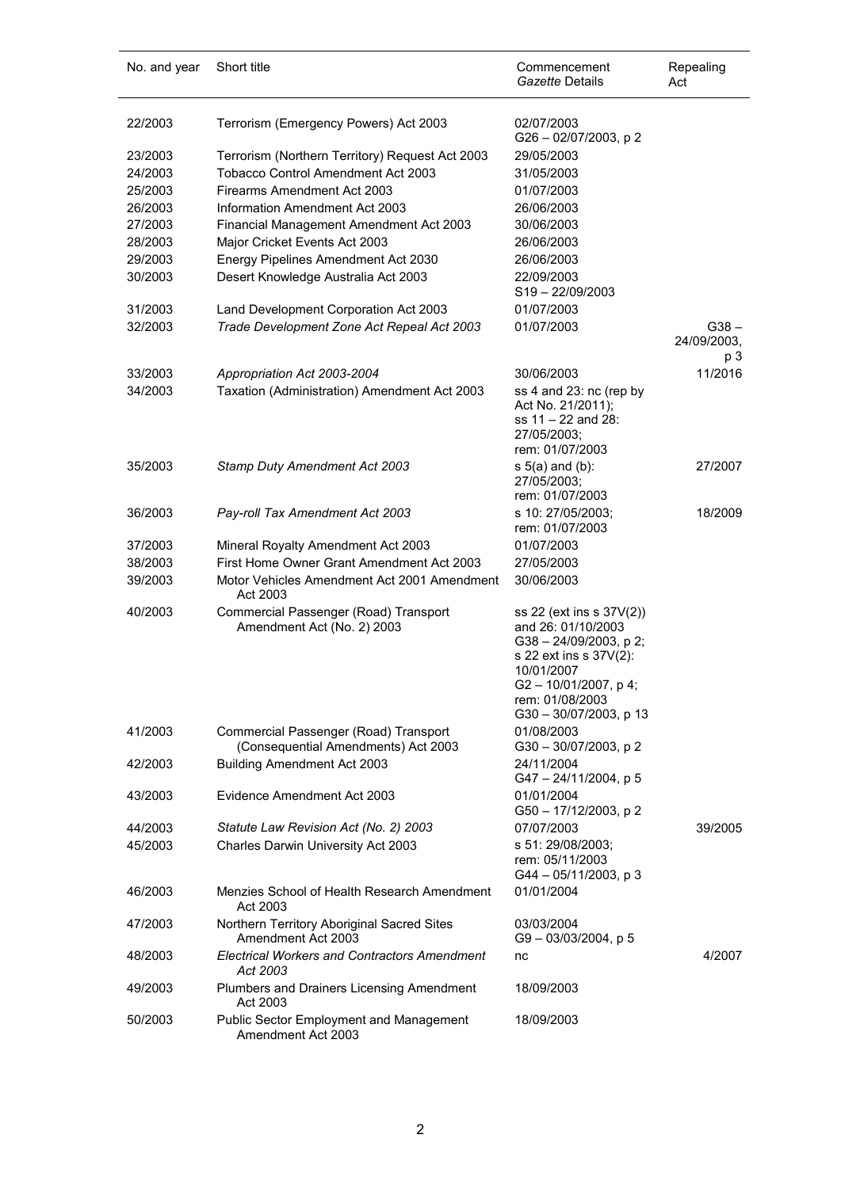| No. and year | Short title                                                                  | Commencement<br><i>Gazette</i> Details                                                                                                                                               | Repealing<br>Act              |
|--------------|------------------------------------------------------------------------------|--------------------------------------------------------------------------------------------------------------------------------------------------------------------------------------|-------------------------------|
| 22/2003      | Terrorism (Emergency Powers) Act 2003                                        | 02/07/2003<br>G26 - 02/07/2003, p 2                                                                                                                                                  |                               |
| 23/2003      | Terrorism (Northern Territory) Request Act 2003                              | 29/05/2003                                                                                                                                                                           |                               |
| 24/2003      | <b>Tobacco Control Amendment Act 2003</b>                                    | 31/05/2003                                                                                                                                                                           |                               |
| 25/2003      | Firearms Amendment Act 2003                                                  | 01/07/2003                                                                                                                                                                           |                               |
| 26/2003      | Information Amendment Act 2003                                               | 26/06/2003                                                                                                                                                                           |                               |
| 27/2003      | Financial Management Amendment Act 2003                                      | 30/06/2003                                                                                                                                                                           |                               |
| 28/2003      | Major Cricket Events Act 2003                                                | 26/06/2003                                                                                                                                                                           |                               |
| 29/2003      | Energy Pipelines Amendment Act 2030                                          | 26/06/2003                                                                                                                                                                           |                               |
| 30/2003      | Desert Knowledge Australia Act 2003                                          | 22/09/2003<br>S19-22/09/2003                                                                                                                                                         |                               |
| 31/2003      | Land Development Corporation Act 2003                                        | 01/07/2003                                                                                                                                                                           |                               |
| 32/2003      | Trade Development Zone Act Repeal Act 2003                                   | 01/07/2003                                                                                                                                                                           | $G38 -$<br>24/09/2003,<br>p 3 |
| 33/2003      | Appropriation Act 2003-2004                                                  | 30/06/2003                                                                                                                                                                           | 11/2016                       |
| 34/2003      | Taxation (Administration) Amendment Act 2003                                 | ss 4 and 23: nc (rep by<br>Act No. 21/2011);<br>ss 11 - 22 and 28:<br>27/05/2003;<br>rem: 01/07/2003                                                                                 |                               |
| 35/2003      | Stamp Duty Amendment Act 2003                                                | $s$ 5(a) and (b):<br>27/05/2003;<br>rem: 01/07/2003                                                                                                                                  | 27/2007                       |
| 36/2003      | Pay-roll Tax Amendment Act 2003                                              | s 10: 27/05/2003;<br>rem: 01/07/2003                                                                                                                                                 | 18/2009                       |
| 37/2003      | Mineral Royalty Amendment Act 2003                                           | 01/07/2003                                                                                                                                                                           |                               |
| 38/2003      | First Home Owner Grant Amendment Act 2003                                    | 27/05/2003                                                                                                                                                                           |                               |
| 39/2003      | Motor Vehicles Amendment Act 2001 Amendment<br>Act 2003                      | 30/06/2003                                                                                                                                                                           |                               |
| 40/2003      | Commercial Passenger (Road) Transport<br>Amendment Act (No. 2) 2003          | ss 22 (ext ins s 37V(2))<br>and 26: 01/10/2003<br>$G38 - 24/09/2003$ , p 2;<br>s 22 ext ins s 37V(2):<br>10/01/2007<br>G2-10/01/2007, p4;<br>rem: 01/08/2003<br>G30-30/07/2003, p 13 |                               |
| 41/2003      | Commercial Passenger (Road) Transport<br>(Consequential Amendments) Act 2003 | 01/08/2003<br>G30-30/07/2003, p 2                                                                                                                                                    |                               |
| 42/2003      | <b>Building Amendment Act 2003</b>                                           | 24/11/2004<br>G47 - 24/11/2004, p 5                                                                                                                                                  |                               |
| 43/2003      | Evidence Amendment Act 2003                                                  | 01/01/2004<br>G50 - 17/12/2003, p 2                                                                                                                                                  |                               |
| 44/2003      | Statute Law Revision Act (No. 2) 2003                                        | 07/07/2003                                                                                                                                                                           | 39/2005                       |
| 45/2003      | Charles Darwin University Act 2003                                           | s 51: 29/08/2003;<br>rem: 05/11/2003<br>G44 - 05/11/2003, p 3                                                                                                                        |                               |
| 46/2003      | Menzies School of Health Research Amendment<br>Act 2003                      | 01/01/2004                                                                                                                                                                           |                               |
| 47/2003      | Northern Territory Aboriginal Sacred Sites<br>Amendment Act 2003             | 03/03/2004<br>$G9 - 03/03/2004$ , p 5                                                                                                                                                |                               |
| 48/2003      | <b>Electrical Workers and Contractors Amendment</b><br>Act 2003              | nc                                                                                                                                                                                   | 4/2007                        |
| 49/2003      | Plumbers and Drainers Licensing Amendment<br>Act 2003                        | 18/09/2003                                                                                                                                                                           |                               |
| 50/2003      | <b>Public Sector Employment and Management</b><br>Amendment Act 2003         | 18/09/2003                                                                                                                                                                           |                               |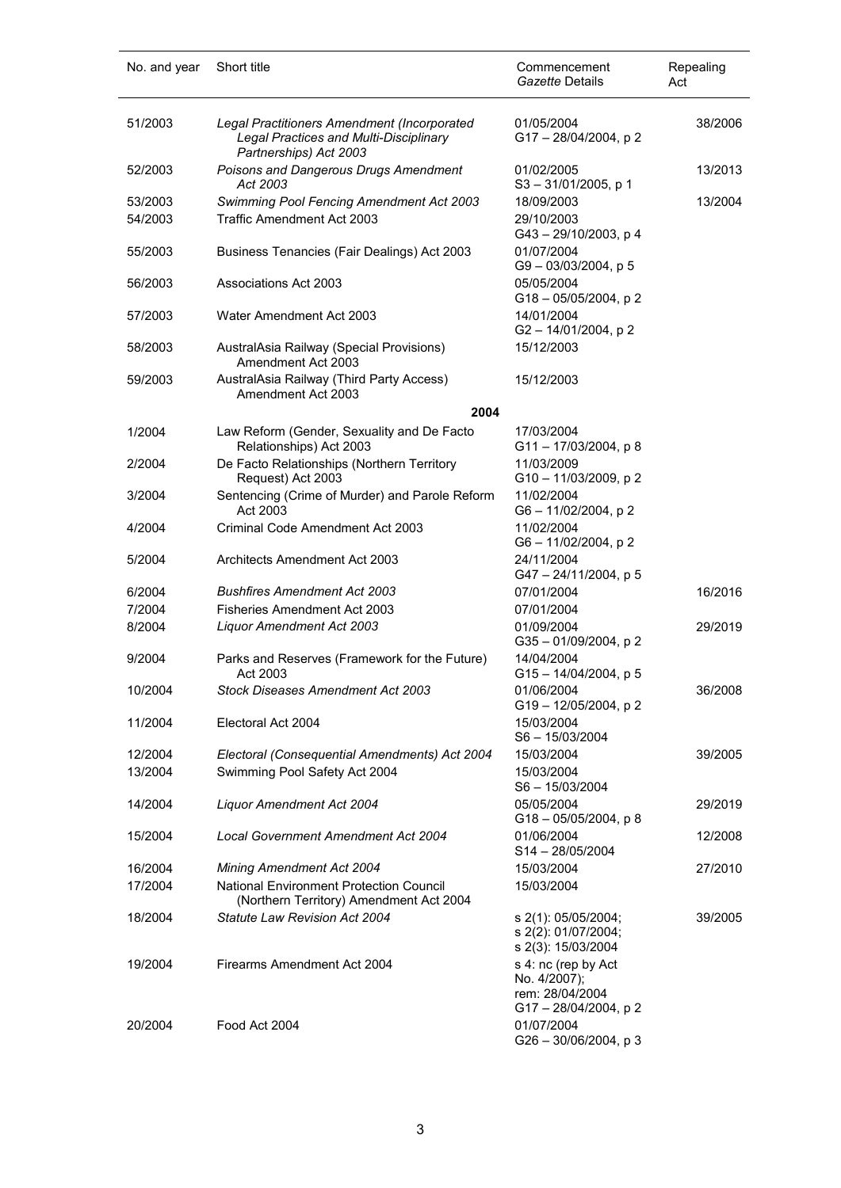| No. and year | Short title                                                                                                     | Commencement<br>Gazette Details                                              | Repealing<br>Act |
|--------------|-----------------------------------------------------------------------------------------------------------------|------------------------------------------------------------------------------|------------------|
| 51/2003      | Legal Practitioners Amendment (Incorporated<br>Legal Practices and Multi-Disciplinary<br>Partnerships) Act 2003 | 01/05/2004<br>G17 - 28/04/2004, p 2                                          | 38/2006          |
| 52/2003      | Poisons and Dangerous Drugs Amendment<br>Act 2003                                                               | 01/02/2005<br>$S3 - 31/01/2005$ , p 1                                        | 13/2013          |
| 53/2003      | Swimming Pool Fencing Amendment Act 2003                                                                        | 18/09/2003                                                                   | 13/2004          |
| 54/2003      | <b>Traffic Amendment Act 2003</b>                                                                               | 29/10/2003                                                                   |                  |
|              |                                                                                                                 | G43-29/10/2003, p4                                                           |                  |
| 55/2003      | Business Tenancies (Fair Dealings) Act 2003                                                                     | 01/07/2004<br>G9-03/03/2004, p5                                              |                  |
| 56/2003      | Associations Act 2003                                                                                           | 05/05/2004<br>G18-05/05/2004, p2                                             |                  |
| 57/2003      | Water Amendment Act 2003                                                                                        | 14/01/2004<br>G2-14/01/2004, p2                                              |                  |
| 58/2003      | AustralAsia Railway (Special Provisions)<br>Amendment Act 2003                                                  | 15/12/2003                                                                   |                  |
| 59/2003      | AustralAsia Railway (Third Party Access)<br>Amendment Act 2003                                                  | 15/12/2003                                                                   |                  |
|              | 2004                                                                                                            |                                                                              |                  |
| 1/2004       | Law Reform (Gender, Sexuality and De Facto                                                                      | 17/03/2004                                                                   |                  |
|              | Relationships) Act 2003                                                                                         | $G11 - 17/03/2004$ , p 8                                                     |                  |
| 2/2004       | De Facto Relationships (Northern Territory                                                                      | 11/03/2009                                                                   |                  |
|              | Request) Act 2003                                                                                               | G10-11/03/2009, p2                                                           |                  |
| 3/2004       | Sentencing (Crime of Murder) and Parole Reform                                                                  | 11/02/2004                                                                   |                  |
|              | Act 2003                                                                                                        | G6 - 11/02/2004, p 2                                                         |                  |
| 4/2004       | Criminal Code Amendment Act 2003                                                                                | 11/02/2004<br>G6-11/02/2004, p2                                              |                  |
| 5/2004       | Architects Amendment Act 2003                                                                                   | 24/11/2004<br>G47-24/11/2004, p 5                                            |                  |
| 6/2004       | <b>Bushfires Amendment Act 2003</b>                                                                             | 07/01/2004                                                                   | 16/2016          |
| 7/2004       | Fisheries Amendment Act 2003                                                                                    | 07/01/2004                                                                   |                  |
| 8/2004       | Liquor Amendment Act 2003                                                                                       | 01/09/2004                                                                   | 29/2019          |
|              |                                                                                                                 | G35-01/09/2004, p2                                                           |                  |
| 9/2004       | Parks and Reserves (Framework for the Future)                                                                   | 14/04/2004                                                                   |                  |
|              | Act 2003                                                                                                        | $G15 - 14/04/2004$ , p 5                                                     |                  |
| 10/2004      | Stock Diseases Amendment Act 2003                                                                               | 01/06/2004<br>G19-12/05/2004, p2                                             | 36/2008          |
| 11/2004      | Electoral Act 2004                                                                                              | 15/03/2004<br>S6-15/03/2004                                                  |                  |
| 12/2004      | Electoral (Consequential Amendments) Act 2004                                                                   | 15/03/2004                                                                   | 39/2005          |
| 13/2004      | Swimming Pool Safety Act 2004                                                                                   | 15/03/2004<br>S6-15/03/2004                                                  |                  |
| 14/2004      | <b>Liquor Amendment Act 2004</b>                                                                                | 05/05/2004<br>$G18 - 05/05/2004$ , p 8                                       | 29/2019          |
| 15/2004      | <b>Local Government Amendment Act 2004</b>                                                                      | 01/06/2004<br>$S14 - 28/05/2004$                                             | 12/2008          |
| 16/2004      | Mining Amendment Act 2004                                                                                       | 15/03/2004                                                                   | 27/2010          |
| 17/2004      | <b>National Environment Protection Council</b>                                                                  | 15/03/2004                                                                   |                  |
|              | (Northern Territory) Amendment Act 2004                                                                         |                                                                              |                  |
| 18/2004      | Statute Law Revision Act 2004                                                                                   | s 2(1): 05/05/2004;<br>s 2(2): 01/07/2004;<br>s 2(3): 15/03/2004             | 39/2005          |
| 19/2004      | Firearms Amendment Act 2004                                                                                     | s 4: nc (rep by Act<br>No. 4/2007);<br>rem: 28/04/2004<br>G17-28/04/2004, p2 |                  |
| 20/2004      | Food Act 2004                                                                                                   | 01/07/2004<br>$G26 - 30/06/2004$ , p 3                                       |                  |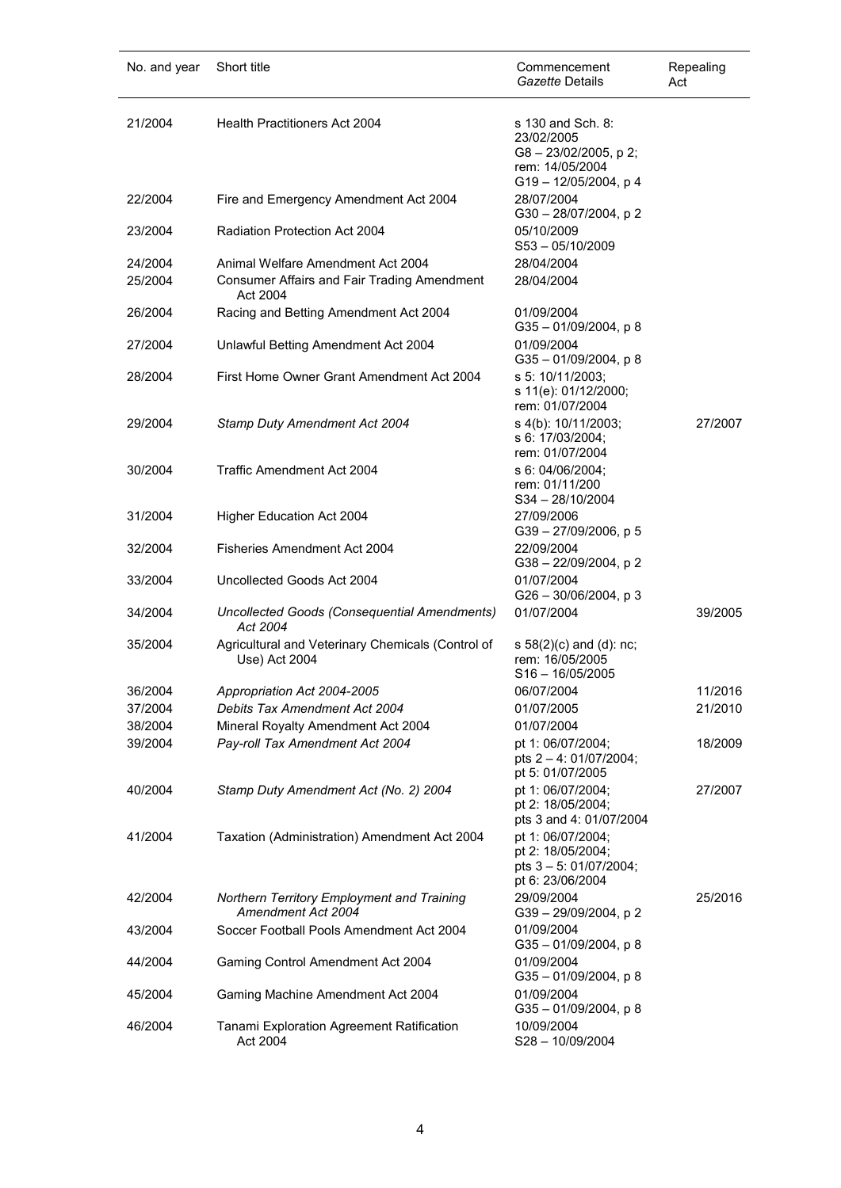| No. and year | Short title                                                        | Commencement<br>Gazette Details                                                                   | Repealing<br>Act |
|--------------|--------------------------------------------------------------------|---------------------------------------------------------------------------------------------------|------------------|
| 21/2004      | <b>Health Practitioners Act 2004</b>                               | s 130 and Sch. 8:<br>23/02/2005<br>G8-23/02/2005, p2;<br>rem: 14/05/2004<br>G19 - 12/05/2004, p 4 |                  |
| 22/2004      | Fire and Emergency Amendment Act 2004                              | 28/07/2004<br>G30 - 28/07/2004, p 2                                                               |                  |
| 23/2004      | Radiation Protection Act 2004                                      | 05/10/2009<br>$S53 - 05/10/2009$                                                                  |                  |
| 24/2004      | Animal Welfare Amendment Act 2004                                  | 28/04/2004                                                                                        |                  |
| 25/2004      | <b>Consumer Affairs and Fair Trading Amendment</b><br>Act 2004     | 28/04/2004                                                                                        |                  |
| 26/2004      | Racing and Betting Amendment Act 2004                              | 01/09/2004<br>$G35 - 01/09/2004$ , p 8                                                            |                  |
| 27/2004      | Unlawful Betting Amendment Act 2004                                | 01/09/2004<br>$G35 - 01/09/2004$ , p 8                                                            |                  |
| 28/2004      | First Home Owner Grant Amendment Act 2004                          | s 5: 10/11/2003;<br>s 11(e): 01/12/2000;<br>rem: 01/07/2004                                       |                  |
| 29/2004      | Stamp Duty Amendment Act 2004                                      | s 4(b): 10/11/2003;<br>s 6: 17/03/2004;<br>rem: 01/07/2004                                        | 27/2007          |
| 30/2004      | Traffic Amendment Act 2004                                         | s 6: 04/06/2004;<br>rem: 01/11/200<br>$S34 - 28/10/2004$                                          |                  |
| 31/2004      | Higher Education Act 2004                                          | 27/09/2006<br>$G39 - 27/09/2006$ , p 5                                                            |                  |
| 32/2004      | Fisheries Amendment Act 2004                                       | 22/09/2004<br>G38 - 22/09/2004, p 2                                                               |                  |
| 33/2004      | Uncollected Goods Act 2004                                         | 01/07/2004<br>$G26 - 30/06/2004$ , p 3                                                            |                  |
| 34/2004      | Uncollected Goods (Consequential Amendments)<br>Act 2004           | 01/07/2004                                                                                        | 39/2005          |
| 35/2004      | Agricultural and Veterinary Chemicals (Control of<br>Use) Act 2004 | s $58(2)(c)$ and (d): nc;<br>rem: 16/05/2005<br>$S16 - 16/05/2005$                                |                  |
| 36/2004      | Appropriation Act 2004-2005                                        | 06/07/2004                                                                                        | 11/2016          |
| 37/2004      | Debits Tax Amendment Act 2004                                      | 01/07/2005                                                                                        | 21/2010          |
| 38/2004      | Mineral Royalty Amendment Act 2004                                 | 01/07/2004                                                                                        |                  |
| 39/2004      | Pay-roll Tax Amendment Act 2004                                    | pt 1: 06/07/2004;<br>pts $2 - 4$ : 01/07/2004;<br>pt 5: 01/07/2005                                | 18/2009          |
| 40/2004      | Stamp Duty Amendment Act (No. 2) 2004                              | pt 1: 06/07/2004;<br>pt 2: 18/05/2004;<br>pts 3 and 4: 01/07/2004                                 | 27/2007          |
| 41/2004      | Taxation (Administration) Amendment Act 2004                       | pt 1: 06/07/2004;<br>pt 2: 18/05/2004;<br>pts $3 - 5$ : 01/07/2004;<br>pt 6: 23/06/2004           |                  |
| 42/2004      | Northern Territory Employment and Training<br>Amendment Act 2004   | 29/09/2004<br>G39 - 29/09/2004, p 2                                                               | 25/2016          |
| 43/2004      | Soccer Football Pools Amendment Act 2004                           | 01/09/2004<br>G35-01/09/2004, p8                                                                  |                  |
| 44/2004      | Gaming Control Amendment Act 2004                                  | 01/09/2004<br>G35-01/09/2004, p8                                                                  |                  |
| 45/2004      | Gaming Machine Amendment Act 2004                                  | 01/09/2004<br>G35-01/09/2004, p8                                                                  |                  |
| 46/2004      | Tanami Exploration Agreement Ratification<br>Act 2004              | 10/09/2004<br>S28-10/09/2004                                                                      |                  |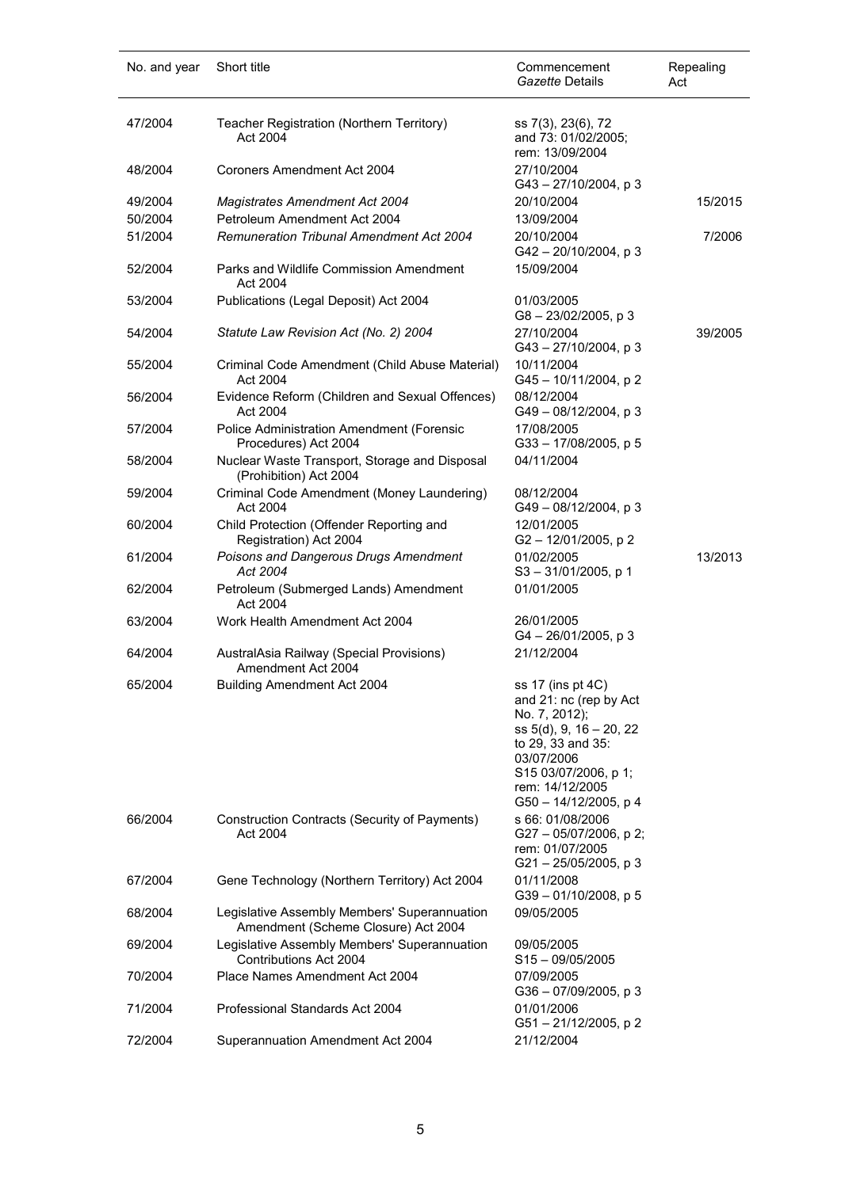| No. and year | Short title                                                                         | Commencement<br>Gazette Details                                                                                                                                                                | Repealing<br>Act |
|--------------|-------------------------------------------------------------------------------------|------------------------------------------------------------------------------------------------------------------------------------------------------------------------------------------------|------------------|
| 47/2004      | Teacher Registration (Northern Territory)<br>Act 2004                               | ss 7(3), 23(6), 72<br>and 73: 01/02/2005;<br>rem: 13/09/2004                                                                                                                                   |                  |
| 48/2004      | Coroners Amendment Act 2004                                                         | 27/10/2004<br>$G43 - 27/10/2004$ , p 3                                                                                                                                                         |                  |
| 49/2004      | <b>Magistrates Amendment Act 2004</b>                                               | 20/10/2004                                                                                                                                                                                     | 15/2015          |
| 50/2004      | Petroleum Amendment Act 2004                                                        | 13/09/2004                                                                                                                                                                                     |                  |
| 51/2004      | <b>Remuneration Tribunal Amendment Act 2004</b>                                     | 20/10/2004<br>$G42 - 20/10/2004$ , p 3                                                                                                                                                         | 7/2006           |
| 52/2004      | Parks and Wildlife Commission Amendment<br>Act 2004                                 | 15/09/2004                                                                                                                                                                                     |                  |
| 53/2004      | Publications (Legal Deposit) Act 2004                                               | 01/03/2005<br>G8-23/02/2005, p3                                                                                                                                                                |                  |
| 54/2004      | Statute Law Revision Act (No. 2) 2004                                               | 27/10/2004<br>G43-27/10/2004, p 3                                                                                                                                                              | 39/2005          |
| 55/2004      | Criminal Code Amendment (Child Abuse Material)<br>Act 2004                          | 10/11/2004<br>G45 - 10/11/2004, p 2                                                                                                                                                            |                  |
| 56/2004      | Evidence Reform (Children and Sexual Offences)<br>Act 2004                          | 08/12/2004<br>$G49 - 08/12/2004$ , p 3                                                                                                                                                         |                  |
| 57/2004      | Police Administration Amendment (Forensic<br>Procedures) Act 2004                   | 17/08/2005<br>G33-17/08/2005, p 5                                                                                                                                                              |                  |
| 58/2004      | Nuclear Waste Transport, Storage and Disposal<br>(Prohibition) Act 2004             | 04/11/2004                                                                                                                                                                                     |                  |
| 59/2004      | Criminal Code Amendment (Money Laundering)<br>Act 2004                              | 08/12/2004<br>G49-08/12/2004, p 3                                                                                                                                                              |                  |
| 60/2004      | Child Protection (Offender Reporting and<br>Registration) Act 2004                  | 12/01/2005<br>G2-12/01/2005, p2                                                                                                                                                                |                  |
| 61/2004      | Poisons and Dangerous Drugs Amendment<br>Act 2004                                   | 01/02/2005<br>$S3 - 31/01/2005$ , p 1                                                                                                                                                          | 13/2013          |
| 62/2004      | Petroleum (Submerged Lands) Amendment<br>Act 2004                                   | 01/01/2005                                                                                                                                                                                     |                  |
| 63/2004      | Work Health Amendment Act 2004                                                      | 26/01/2005<br>$G4 - 26/01/2005$ , p 3                                                                                                                                                          |                  |
| 64/2004      | AustralAsia Railway (Special Provisions)<br>Amendment Act 2004                      | 21/12/2004                                                                                                                                                                                     |                  |
| 65/2004      | <b>Building Amendment Act 2004</b>                                                  | ss 17 (ins pt 4C)<br>and 21: nc (rep by Act<br>No. 7, 2012);<br>ss 5(d), 9, 16 - 20, 22<br>to 29, 33 and 35:<br>03/07/2006<br>S15 03/07/2006, p 1;<br>rem: 14/12/2005<br>G50 - 14/12/2005, p 4 |                  |
| 66/2004      | Construction Contracts (Security of Payments)<br>Act 2004                           | s 66: 01/08/2006<br>$G27 - 05/07/2006$ , p 2;<br>rem: 01/07/2005<br>$G21 - 25/05/2005$ , p 3                                                                                                   |                  |
| 67/2004      | Gene Technology (Northern Territory) Act 2004                                       | 01/11/2008<br>G39-01/10/2008, p 5                                                                                                                                                              |                  |
| 68/2004      | Legislative Assembly Members' Superannuation<br>Amendment (Scheme Closure) Act 2004 | 09/05/2005                                                                                                                                                                                     |                  |
| 69/2004      | Legislative Assembly Members' Superannuation<br><b>Contributions Act 2004</b>       | 09/05/2005<br>$S15 - 09/05/2005$                                                                                                                                                               |                  |
| 70/2004      | Place Names Amendment Act 2004                                                      | 07/09/2005<br>G36 - 07/09/2005, p 3                                                                                                                                                            |                  |
| 71/2004      | Professional Standards Act 2004                                                     | 01/01/2006<br>G51-21/12/2005, p 2                                                                                                                                                              |                  |
| 72/2004      | Superannuation Amendment Act 2004                                                   | 21/12/2004                                                                                                                                                                                     |                  |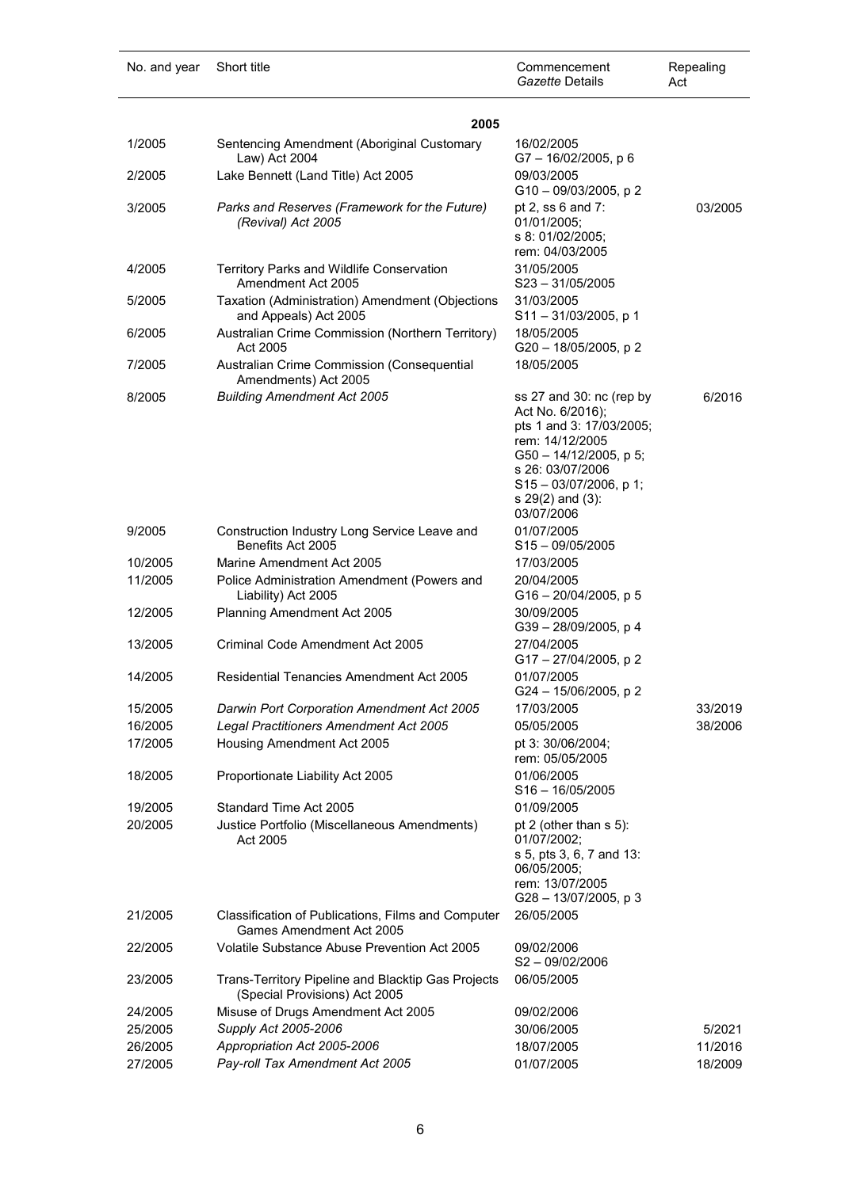| No. and year | Short title                                                                         | Commencement<br>Gazette Details                                                                                                                                                                               | Repealing<br>Act |
|--------------|-------------------------------------------------------------------------------------|---------------------------------------------------------------------------------------------------------------------------------------------------------------------------------------------------------------|------------------|
|              | 2005                                                                                |                                                                                                                                                                                                               |                  |
| 1/2005       | Sentencing Amendment (Aboriginal Customary<br>Law) Act 2004                         | 16/02/2005<br>G7-16/02/2005, p6                                                                                                                                                                               |                  |
| 2/2005       | Lake Bennett (Land Title) Act 2005                                                  | 09/03/2005<br>G10-09/03/2005, p2                                                                                                                                                                              |                  |
| 3/2005       | Parks and Reserves (Framework for the Future)<br>(Revival) Act 2005                 | pt 2, ss 6 and 7:<br>01/01/2005;<br>s 8: 01/02/2005;<br>rem: 04/03/2005                                                                                                                                       | 03/2005          |
| 4/2005       | Territory Parks and Wildlife Conservation<br>Amendment Act 2005                     | 31/05/2005<br>$S23 - 31/05/2005$                                                                                                                                                                              |                  |
| 5/2005       | Taxation (Administration) Amendment (Objections<br>and Appeals) Act 2005            | 31/03/2005<br>S11-31/03/2005, p 1                                                                                                                                                                             |                  |
| 6/2005       | Australian Crime Commission (Northern Territory)<br>Act 2005                        | 18/05/2005<br>G20 - 18/05/2005, p 2                                                                                                                                                                           |                  |
| 7/2005       | Australian Crime Commission (Consequential<br>Amendments) Act 2005                  | 18/05/2005                                                                                                                                                                                                    |                  |
| 8/2005       | <b>Building Amendment Act 2005</b>                                                  | ss 27 and 30: nc (rep by<br>Act No. 6/2016);<br>pts 1 and 3: 17/03/2005;<br>rem: 14/12/2005<br>G50 - 14/12/2005, p 5;<br>s 26: 03/07/2006<br>$S15 - 03/07/2006$ , p 1;<br>s $29(2)$ and $(3)$ :<br>03/07/2006 | 6/2016           |
| 9/2005       | Construction Industry Long Service Leave and<br>Benefits Act 2005                   | 01/07/2005<br>$S15 - 09/05/2005$                                                                                                                                                                              |                  |
| 10/2005      | Marine Amendment Act 2005                                                           | 17/03/2005                                                                                                                                                                                                    |                  |
| 11/2005      | Police Administration Amendment (Powers and<br>Liability) Act 2005                  | 20/04/2005<br>G16-20/04/2005, p 5                                                                                                                                                                             |                  |
| 12/2005      | Planning Amendment Act 2005                                                         | 30/09/2005<br>G39 - 28/09/2005, p 4                                                                                                                                                                           |                  |
| 13/2005      | Criminal Code Amendment Act 2005                                                    | 27/04/2005<br>G17-27/04/2005, p2                                                                                                                                                                              |                  |
| 14/2005      | Residential Tenancies Amendment Act 2005                                            | 01/07/2005<br>G24-15/06/2005, p2                                                                                                                                                                              |                  |
| 15/2005      | Darwin Port Corporation Amendment Act 2005                                          | 17/03/2005                                                                                                                                                                                                    | 33/2019          |
| 16/2005      | Legal Practitioners Amendment Act 2005                                              | 05/05/2005                                                                                                                                                                                                    | 38/2006          |
| 17/2005      | Housing Amendment Act 2005                                                          | pt 3: 30/06/2004;<br>rem: 05/05/2005                                                                                                                                                                          |                  |
| 18/2005      | Proportionate Liability Act 2005                                                    | 01/06/2005<br>$S16 - 16/05/2005$                                                                                                                                                                              |                  |
| 19/2005      | Standard Time Act 2005                                                              | 01/09/2005                                                                                                                                                                                                    |                  |
| 20/2005      | Justice Portfolio (Miscellaneous Amendments)<br>Act 2005                            | pt 2 (other than s 5):<br>01/07/2002;<br>s 5, pts 3, 6, 7 and 13:<br>06/05/2005;<br>rem: 13/07/2005<br>G28 - 13/07/2005, p 3                                                                                  |                  |
| 21/2005      | Classification of Publications, Films and Computer<br>Games Amendment Act 2005      | 26/05/2005                                                                                                                                                                                                    |                  |
| 22/2005      | <b>Volatile Substance Abuse Prevention Act 2005</b>                                 | 09/02/2006<br>$S2 - 09/02/2006$                                                                                                                                                                               |                  |
| 23/2005      | Trans-Territory Pipeline and Blacktip Gas Projects<br>(Special Provisions) Act 2005 | 06/05/2005                                                                                                                                                                                                    |                  |
| 24/2005      | Misuse of Drugs Amendment Act 2005                                                  | 09/02/2006                                                                                                                                                                                                    |                  |
| 25/2005      | Supply Act 2005-2006                                                                | 30/06/2005                                                                                                                                                                                                    | 5/2021           |
| 26/2005      | Appropriation Act 2005-2006                                                         | 18/07/2005                                                                                                                                                                                                    | 11/2016          |
| 27/2005      | Pay-roll Tax Amendment Act 2005                                                     | 01/07/2005                                                                                                                                                                                                    | 18/2009          |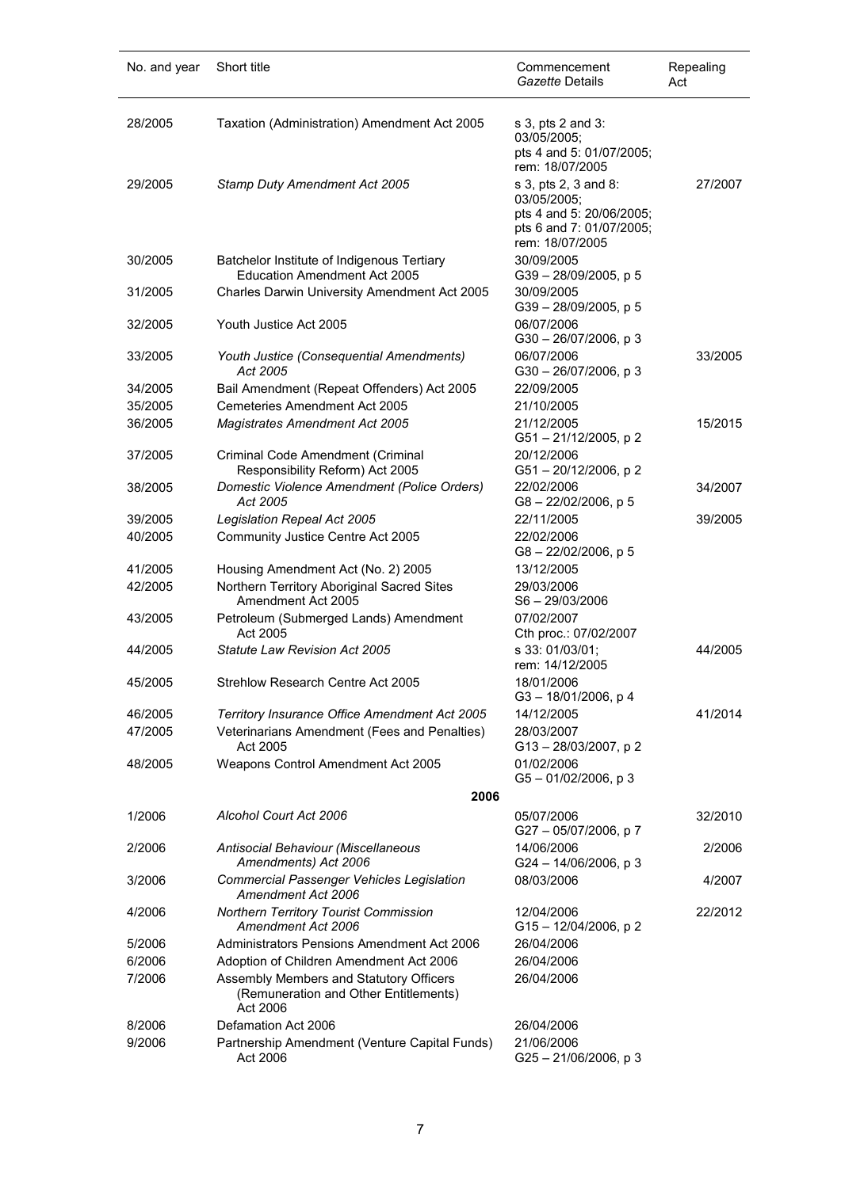| No. and year     | Short title                                                                                                                             | Commencement<br>Gazette Details                                                                                | Repealing<br>Act |
|------------------|-----------------------------------------------------------------------------------------------------------------------------------------|----------------------------------------------------------------------------------------------------------------|------------------|
| 28/2005          | Taxation (Administration) Amendment Act 2005                                                                                            | s 3, pts 2 and 3:<br>03/05/2005;<br>pts 4 and 5: 01/07/2005;<br>rem: 18/07/2005                                |                  |
| 29/2005          | Stamp Duty Amendment Act 2005                                                                                                           | s 3, pts 2, 3 and 8:<br>03/05/2005;<br>pts 4 and 5: 20/06/2005;<br>pts 6 and 7: 01/07/2005;<br>rem: 18/07/2005 | 27/2007          |
| 30/2005          | Batchelor Institute of Indigenous Tertiary<br><b>Education Amendment Act 2005</b>                                                       | 30/09/2005<br>$G39 - 28/09/2005$ , p 5                                                                         |                  |
| 31/2005          | Charles Darwin University Amendment Act 2005                                                                                            | 30/09/2005<br>G39-28/09/2005, p 5                                                                              |                  |
| 32/2005          | Youth Justice Act 2005                                                                                                                  | 06/07/2006<br>$G30 - 26/07/2006$ , p 3                                                                         |                  |
| 33/2005          | Youth Justice (Consequential Amendments)<br>Act 2005                                                                                    | 06/07/2006<br>G30-26/07/2006, p3                                                                               | 33/2005          |
| 34/2005          | Bail Amendment (Repeat Offenders) Act 2005                                                                                              | 22/09/2005                                                                                                     |                  |
| 35/2005          | Cemeteries Amendment Act 2005                                                                                                           | 21/10/2005                                                                                                     |                  |
| 36/2005          | <b>Magistrates Amendment Act 2005</b>                                                                                                   | 21/12/2005<br>G51-21/12/2005, p2                                                                               | 15/2015          |
| 37/2005          | Criminal Code Amendment (Criminal<br>Responsibility Reform) Act 2005                                                                    | 20/12/2006<br>G51-20/12/2006, p2                                                                               |                  |
| 38/2005          | Domestic Violence Amendment (Police Orders)<br>Act 2005                                                                                 | 22/02/2006<br>G8-22/02/2006, p 5                                                                               | 34/2007          |
| 39/2005          | Legislation Repeal Act 2005                                                                                                             | 22/11/2005                                                                                                     | 39/2005          |
| 40/2005          | Community Justice Centre Act 2005                                                                                                       | 22/02/2006<br>G8-22/02/2006, p 5                                                                               |                  |
| 41/2005          | Housing Amendment Act (No. 2) 2005                                                                                                      | 13/12/2005                                                                                                     |                  |
| 42/2005          | Northern Territory Aboriginal Sacred Sites<br>Amendment Act 2005                                                                        | 29/03/2006<br>$S6 - 29/03/2006$                                                                                |                  |
| 43/2005          | Petroleum (Submerged Lands) Amendment<br>Act 2005                                                                                       | 07/02/2007<br>Cth proc.: 07/02/2007                                                                            |                  |
| 44/2005          | Statute Law Revision Act 2005                                                                                                           | s 33: 01/03/01:<br>rem: 14/12/2005                                                                             | 44/2005          |
| 45/2005          | Strehlow Research Centre Act 2005                                                                                                       | 18/01/2006<br>G3-18/01/2006, p4                                                                                |                  |
| 46/2005          | Territory Insurance Office Amendment Act 2005                                                                                           | 14/12/2005                                                                                                     | 41/2014          |
| 47/2005          | Veterinarians Amendment (Fees and Penalties)<br>Act 2005                                                                                | 28/03/2007<br>G13-28/03/2007, p2                                                                               |                  |
| 48/2005          | Weapons Control Amendment Act 2005                                                                                                      | 01/02/2006<br>$G5 - 01/02/2006$ , p 3                                                                          |                  |
|                  | 2006                                                                                                                                    |                                                                                                                |                  |
| 1/2006           | Alcohol Court Act 2006                                                                                                                  | 05/07/2006<br>G27-05/07/2006, p7                                                                               | 32/2010          |
| 2/2006           | Antisocial Behaviour (Miscellaneous<br>Amendments) Act 2006                                                                             | 14/06/2006<br>G24 - 14/06/2006, p 3                                                                            | 2/2006           |
| 3/2006           | <b>Commercial Passenger Vehicles Legislation</b><br>Amendment Act 2006                                                                  | 08/03/2006                                                                                                     | 4/2007           |
| 4/2006           | Northern Territory Tourist Commission<br>Amendment Act 2006                                                                             | 12/04/2006<br>G15-12/04/2006, p2                                                                               | 22/2012          |
| 5/2006           | Administrators Pensions Amendment Act 2006                                                                                              | 26/04/2006                                                                                                     |                  |
| 6/2006<br>7/2006 | Adoption of Children Amendment Act 2006<br>Assembly Members and Statutory Officers<br>(Remuneration and Other Entitlements)<br>Act 2006 | 26/04/2006<br>26/04/2006                                                                                       |                  |
| 8/2006           | Defamation Act 2006                                                                                                                     | 26/04/2006                                                                                                     |                  |
| 9/2006           | Partnership Amendment (Venture Capital Funds)<br>Act 2006                                                                               | 21/06/2006<br>G25-21/06/2006, p3                                                                               |                  |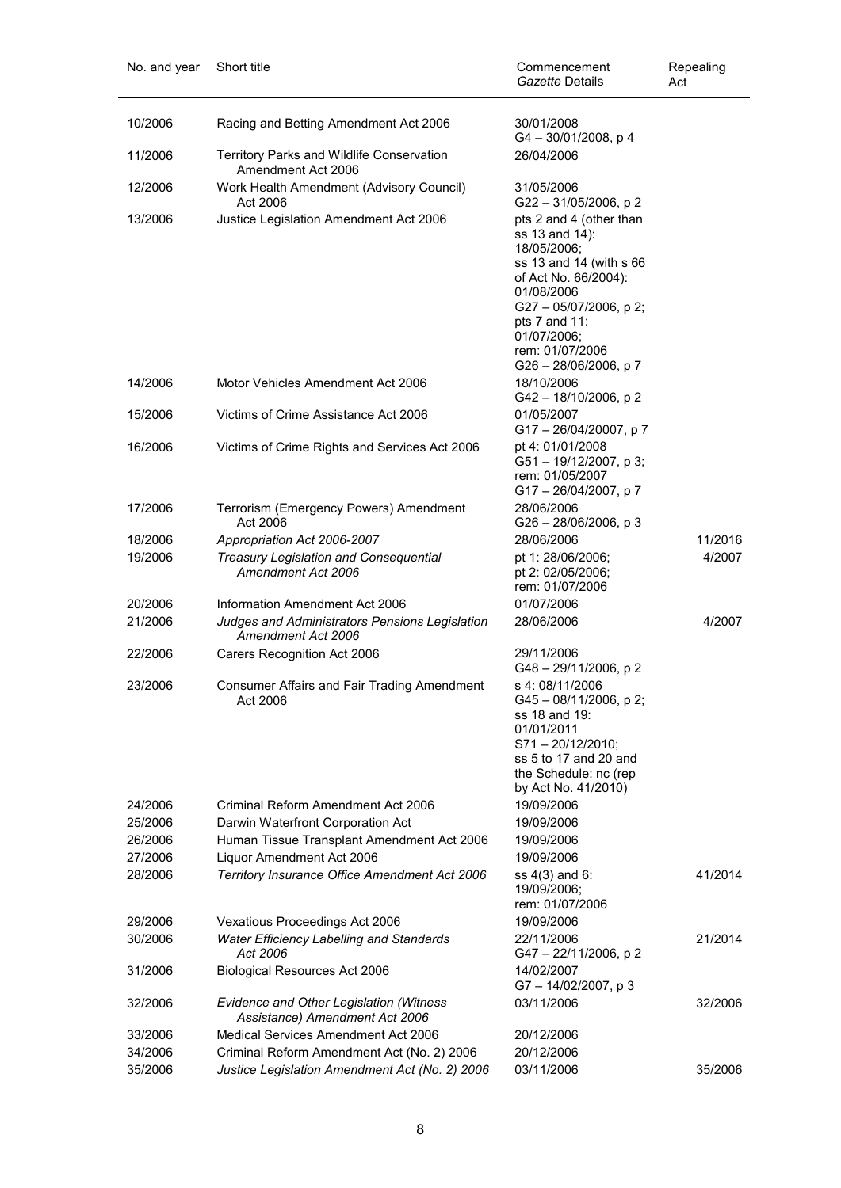| No. and year       | Short title                                                                                            | Commencement<br>Gazette Details                                                                                                                                                                                                 | Repealing<br>Act  |
|--------------------|--------------------------------------------------------------------------------------------------------|---------------------------------------------------------------------------------------------------------------------------------------------------------------------------------------------------------------------------------|-------------------|
| 10/2006            | Racing and Betting Amendment Act 2006                                                                  | 30/01/2008<br>$G4 - 30/01/2008$ , p 4                                                                                                                                                                                           |                   |
| 11/2006            | Territory Parks and Wildlife Conservation<br>Amendment Act 2006                                        | 26/04/2006                                                                                                                                                                                                                      |                   |
| 12/2006            | Work Health Amendment (Advisory Council)<br>Act 2006                                                   | 31/05/2006<br>G22-31/05/2006, p2                                                                                                                                                                                                |                   |
| 13/2006            | Justice Legislation Amendment Act 2006                                                                 | pts 2 and 4 (other than<br>ss 13 and 14):<br>18/05/2006;<br>ss 13 and 14 (with s 66<br>of Act No. 66/2004):<br>01/08/2006<br>G27 - 05/07/2006, p 2;<br>pts 7 and 11:<br>01/07/2006;<br>rem: 01/07/2006<br>G26 - 28/06/2006, p 7 |                   |
| 14/2006            | Motor Vehicles Amendment Act 2006                                                                      | 18/10/2006<br>G42-18/10/2006, p 2                                                                                                                                                                                               |                   |
| 15/2006            | Victims of Crime Assistance Act 2006                                                                   | 01/05/2007<br>G17-26/04/20007, p7                                                                                                                                                                                               |                   |
| 16/2006            | Victims of Crime Rights and Services Act 2006                                                          | pt 4: 01/01/2008<br>G51-19/12/2007, p 3;<br>rem: 01/05/2007<br>G17-26/04/2007, p7                                                                                                                                               |                   |
| 17/2006            | Terrorism (Emergency Powers) Amendment<br>Act 2006                                                     | 28/06/2006<br>G26 - 28/06/2006, p 3                                                                                                                                                                                             |                   |
| 18/2006<br>19/2006 | Appropriation Act 2006-2007<br>Treasury Legislation and Consequential<br>Amendment Act 2006            | 28/06/2006<br>pt 1: 28/06/2006;<br>pt 2: 02/05/2006;<br>rem: 01/07/2006                                                                                                                                                         | 11/2016<br>4/2007 |
| 20/2006<br>21/2006 | Information Amendment Act 2006<br>Judges and Administrators Pensions Legislation<br>Amendment Act 2006 | 01/07/2006<br>28/06/2006                                                                                                                                                                                                        | 4/2007            |
| 22/2006            | Carers Recognition Act 2006                                                                            | 29/11/2006<br>G48 - 29/11/2006, p 2                                                                                                                                                                                             |                   |
| 23/2006            | Consumer Affairs and Fair Trading Amendment<br>Act 2006                                                | s 4:08/11/2006<br>$G45 - 08/11/2006$ , p 2;<br>ss 18 and 19:<br>01/01/2011<br>$S71 - 20/12/2010$ ;<br>ss 5 to 17 and 20 and<br>the Schedule: nc (rep<br>by Act No. 41/2010)                                                     |                   |
| 24/2006            | Criminal Reform Amendment Act 2006                                                                     | 19/09/2006                                                                                                                                                                                                                      |                   |
| 25/2006<br>26/2006 | Darwin Waterfront Corporation Act<br>Human Tissue Transplant Amendment Act 2006                        | 19/09/2006<br>19/09/2006                                                                                                                                                                                                        |                   |
| 27/2006            | Liquor Amendment Act 2006                                                                              | 19/09/2006                                                                                                                                                                                                                      |                   |
| 28/2006            | Territory Insurance Office Amendment Act 2006                                                          | ss $4(3)$ and 6:<br>19/09/2006;<br>rem: 01/07/2006                                                                                                                                                                              | 41/2014           |
| 29/2006            | Vexatious Proceedings Act 2006                                                                         | 19/09/2006                                                                                                                                                                                                                      |                   |
| 30/2006            | <b>Water Efficiency Labelling and Standards</b><br>Act 2006                                            | 22/11/2006<br>G47 - 22/11/2006, p 2                                                                                                                                                                                             | 21/2014           |
| 31/2006            | <b>Biological Resources Act 2006</b>                                                                   | 14/02/2007<br>G7-14/02/2007, p3                                                                                                                                                                                                 |                   |
| 32/2006            | Evidence and Other Legislation (Witness<br>Assistance) Amendment Act 2006                              | 03/11/2006                                                                                                                                                                                                                      | 32/2006           |
| 33/2006            | Medical Services Amendment Act 2006                                                                    | 20/12/2006                                                                                                                                                                                                                      |                   |
| 34/2006<br>35/2006 | Criminal Reform Amendment Act (No. 2) 2006<br>Justice Legislation Amendment Act (No. 2) 2006           | 20/12/2006<br>03/11/2006                                                                                                                                                                                                        | 35/2006           |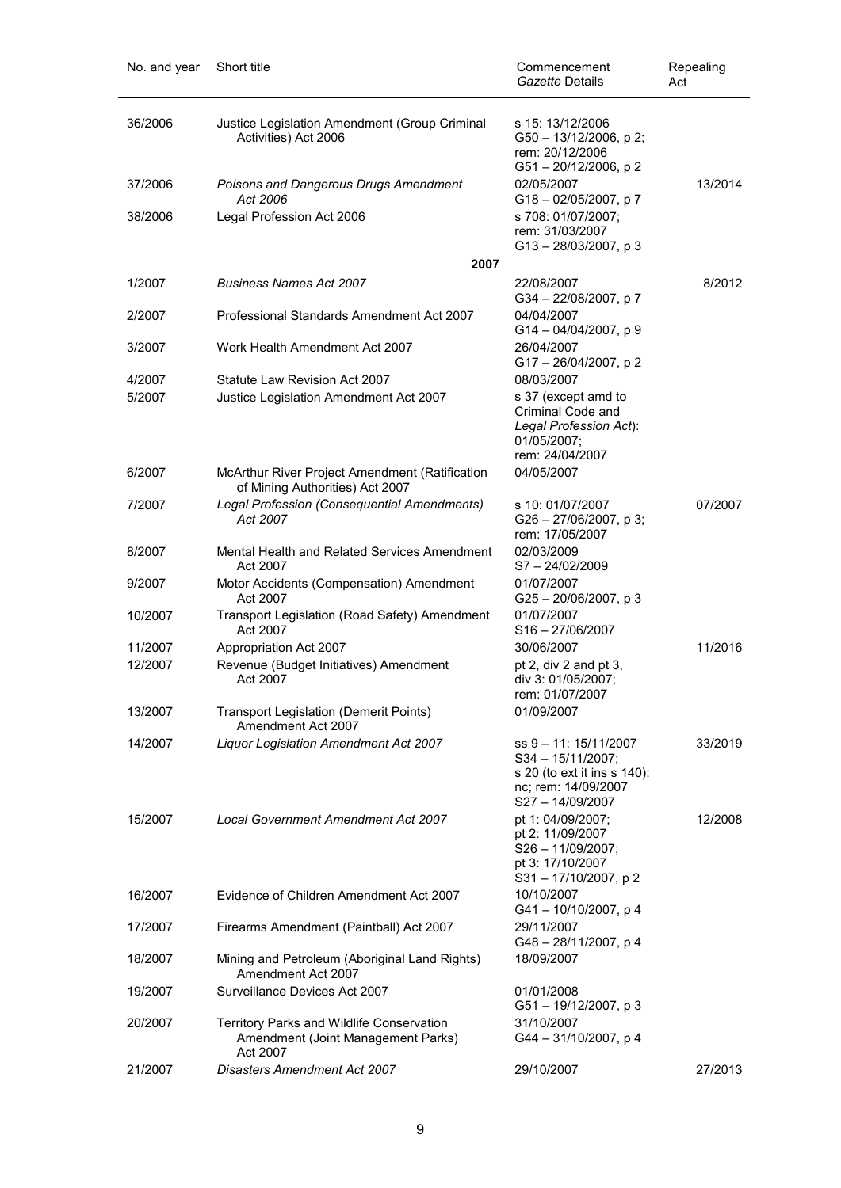| No. and year | Short title                                                                                 | Commencement<br>Gazette Details                                                                                       | Repealing<br>Act |
|--------------|---------------------------------------------------------------------------------------------|-----------------------------------------------------------------------------------------------------------------------|------------------|
| 36/2006      | Justice Legislation Amendment (Group Criminal<br>Activities) Act 2006                       | s 15: 13/12/2006<br>G50 - 13/12/2006, p 2;<br>rem: 20/12/2006<br>G51-20/12/2006, p 2                                  |                  |
| 37/2006      | Poisons and Dangerous Drugs Amendment                                                       | 02/05/2007                                                                                                            | 13/2014          |
| 38/2006      | Act 2006<br>Legal Profession Act 2006                                                       | G18-02/05/2007, p7<br>s 708: 01/07/2007;<br>rem: 31/03/2007<br>$G13 - 28/03/2007$ , p 3                               |                  |
|              | 2007                                                                                        |                                                                                                                       |                  |
| 1/2007       | <b>Business Names Act 2007</b>                                                              | 22/08/2007<br>G34-22/08/2007, p7                                                                                      | 8/2012           |
| 2/2007       | Professional Standards Amendment Act 2007                                                   | 04/04/2007<br>$G14 - 04/04/2007$ , p 9                                                                                |                  |
| 3/2007       | Work Health Amendment Act 2007                                                              | 26/04/2007<br>G17-26/04/2007, p2                                                                                      |                  |
| 4/2007       | Statute Law Revision Act 2007                                                               | 08/03/2007                                                                                                            |                  |
| 5/2007       | Justice Legislation Amendment Act 2007                                                      | s 37 (except amd to<br>Criminal Code and<br>Legal Profession Act):<br>01/05/2007:<br>rem: 24/04/2007                  |                  |
| 6/2007       | McArthur River Project Amendment (Ratification<br>of Mining Authorities) Act 2007           | 04/05/2007                                                                                                            |                  |
| 7/2007       | Legal Profession (Consequential Amendments)<br>Act 2007                                     | s 10: 01/07/2007<br>$G26 - 27/06/2007$ , p 3;<br>rem: 17/05/2007                                                      | 07/2007          |
| 8/2007       | Mental Health and Related Services Amendment<br>Act 2007                                    | 02/03/2009<br>$S7 - 24/02/2009$                                                                                       |                  |
| 9/2007       | Motor Accidents (Compensation) Amendment<br>Act 2007                                        | 01/07/2007<br>G25-20/06/2007, p3                                                                                      |                  |
| 10/2007      | Transport Legislation (Road Safety) Amendment<br>Act 2007                                   | 01/07/2007<br>$S16 - 27/06/2007$                                                                                      |                  |
| 11/2007      | Appropriation Act 2007                                                                      | 30/06/2007                                                                                                            | 11/2016          |
| 12/2007      | Revenue (Budget Initiatives) Amendment<br>Act 2007                                          | pt 2, div 2 and pt 3,<br>div 3: 01/05/2007;<br>rem: 01/07/2007                                                        |                  |
| 13/2007      | <b>Transport Legislation (Demerit Points)</b><br>Amendment Act 2007                         | 01/09/2007                                                                                                            |                  |
| 14/2007      | <b>Liquor Legislation Amendment Act 2007</b>                                                | ss 9 - 11: 15/11/2007<br>$S34 - 15/11/2007$ ;<br>s 20 (to ext it ins s 140):<br>nc; rem: 14/09/2007<br>S27-14/09/2007 | 33/2019          |
| 15/2007      | <b>Local Government Amendment Act 2007</b>                                                  | pt 1: 04/09/2007;<br>pt 2: 11/09/2007<br>S26 - 11/09/2007;<br>pt 3: 17/10/2007<br>S31-17/10/2007, p2                  | 12/2008          |
| 16/2007      | Evidence of Children Amendment Act 2007                                                     | 10/10/2007<br>G41-10/10/2007, p4                                                                                      |                  |
| 17/2007      | Firearms Amendment (Paintball) Act 2007                                                     | 29/11/2007<br>G48-28/11/2007, p 4                                                                                     |                  |
| 18/2007      | Mining and Petroleum (Aboriginal Land Rights)<br>Amendment Act 2007                         | 18/09/2007                                                                                                            |                  |
| 19/2007      | Surveillance Devices Act 2007                                                               | 01/01/2008<br>G51-19/12/2007, p 3                                                                                     |                  |
| 20/2007      | Territory Parks and Wildlife Conservation<br>Amendment (Joint Management Parks)<br>Act 2007 | 31/10/2007<br>G44 - 31/10/2007, p 4                                                                                   |                  |
| 21/2007      | <b>Disasters Amendment Act 2007</b>                                                         | 29/10/2007                                                                                                            | 27/2013          |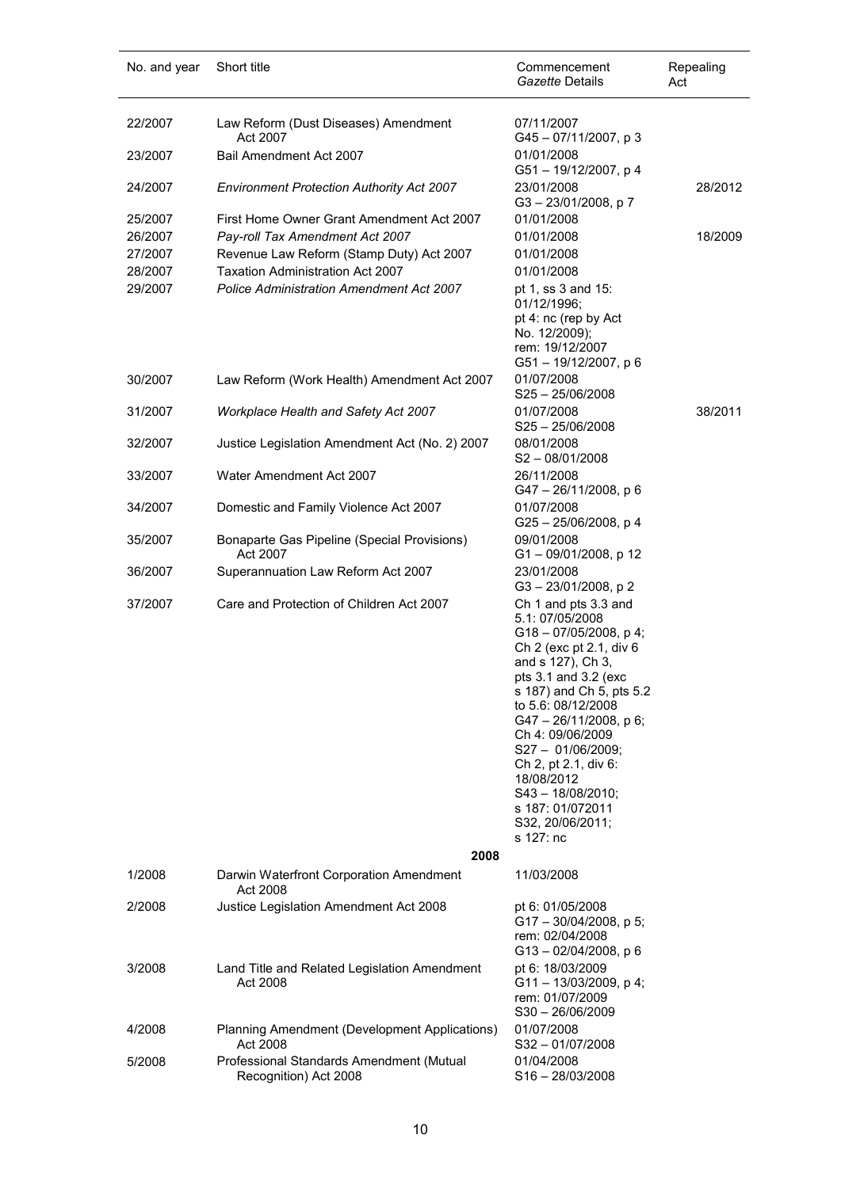| No. and year | Short title                                                       | Commencement<br>Gazette Details                                                                                                                                                                                                                                                                                                                                                 | Repealing<br>Act |
|--------------|-------------------------------------------------------------------|---------------------------------------------------------------------------------------------------------------------------------------------------------------------------------------------------------------------------------------------------------------------------------------------------------------------------------------------------------------------------------|------------------|
| 22/2007      | Law Reform (Dust Diseases) Amendment<br>Act 2007                  | 07/11/2007<br>G45-07/11/2007, p 3                                                                                                                                                                                                                                                                                                                                               |                  |
| 23/2007      | Bail Amendment Act 2007                                           | 01/01/2008<br>G51-19/12/2007, p 4                                                                                                                                                                                                                                                                                                                                               |                  |
| 24/2007      | <b>Environment Protection Authority Act 2007</b>                  | 23/01/2008<br>G3-23/01/2008, p7                                                                                                                                                                                                                                                                                                                                                 | 28/2012          |
| 25/2007      | First Home Owner Grant Amendment Act 2007                         | 01/01/2008                                                                                                                                                                                                                                                                                                                                                                      |                  |
| 26/2007      | Pay-roll Tax Amendment Act 2007                                   | 01/01/2008                                                                                                                                                                                                                                                                                                                                                                      | 18/2009          |
| 27/2007      | Revenue Law Reform (Stamp Duty) Act 2007                          | 01/01/2008                                                                                                                                                                                                                                                                                                                                                                      |                  |
| 28/2007      | <b>Taxation Administration Act 2007</b>                           | 01/01/2008                                                                                                                                                                                                                                                                                                                                                                      |                  |
| 29/2007      | <b>Police Administration Amendment Act 2007</b>                   | pt 1, ss 3 and 15:<br>01/12/1996;<br>pt 4: nc (rep by Act<br>No. 12/2009);<br>rem: 19/12/2007<br>G51-19/12/2007, p 6                                                                                                                                                                                                                                                            |                  |
| 30/2007      | Law Reform (Work Health) Amendment Act 2007                       | 01/07/2008<br>$S25 - 25/06/2008$                                                                                                                                                                                                                                                                                                                                                |                  |
| 31/2007      | Workplace Health and Safety Act 2007                              | 01/07/2008<br>$S25 - 25/06/2008$                                                                                                                                                                                                                                                                                                                                                | 38/2011          |
| 32/2007      | Justice Legislation Amendment Act (No. 2) 2007                    | 08/01/2008<br>$S2 - 08/01/2008$                                                                                                                                                                                                                                                                                                                                                 |                  |
| 33/2007      | Water Amendment Act 2007                                          | 26/11/2008<br>G47-26/11/2008, p 6                                                                                                                                                                                                                                                                                                                                               |                  |
| 34/2007      | Domestic and Family Violence Act 2007                             | 01/07/2008<br>G25-25/06/2008, p 4                                                                                                                                                                                                                                                                                                                                               |                  |
| 35/2007      | Bonaparte Gas Pipeline (Special Provisions)<br>Act 2007           | 09/01/2008<br>G1-09/01/2008, p 12                                                                                                                                                                                                                                                                                                                                               |                  |
| 36/2007      | Superannuation Law Reform Act 2007                                | 23/01/2008<br>G3-23/01/2008, p2                                                                                                                                                                                                                                                                                                                                                 |                  |
| 37/2007      | Care and Protection of Children Act 2007<br>2008                  | Ch 1 and pts 3.3 and<br>5.1: 07/05/2008<br>$G18 - 07/05/2008$ , p 4;<br>Ch 2 (exc pt 2.1, div 6<br>and s 127), Ch 3,<br>pts 3.1 and 3.2 (exc<br>s 187) and Ch 5, pts 5.2<br>to 5.6: 08/12/2008<br>G47-26/11/2008, p 6;<br>Ch 4: 09/06/2009<br>S27 - 01/06/2009;<br>Ch 2, pt 2.1, div 6:<br>18/08/2012<br>S43 - 18/08/2010;<br>s 187: 01/072011<br>S32, 20/06/2011;<br>s 127: nc |                  |
| 1/2008       | Darwin Waterfront Corporation Amendment                           | 11/03/2008                                                                                                                                                                                                                                                                                                                                                                      |                  |
|              | Act 2008                                                          |                                                                                                                                                                                                                                                                                                                                                                                 |                  |
| 2/2008       | Justice Legislation Amendment Act 2008                            | pt 6: 01/05/2008<br>$G17 - 30/04/2008$ , p 5;<br>rem: 02/04/2008<br>G13-02/04/2008, p 6                                                                                                                                                                                                                                                                                         |                  |
| 3/2008       | Land Title and Related Legislation Amendment<br>Act 2008          | pt 6: 18/03/2009<br>$G11 - 13/03/2009$ , p 4;<br>rem: 01/07/2009<br>$S30 - 26/06/2009$                                                                                                                                                                                                                                                                                          |                  |
| 4/2008       | Planning Amendment (Development Applications)<br>Act 2008         | 01/07/2008<br>S32-01/07/2008                                                                                                                                                                                                                                                                                                                                                    |                  |
| 5/2008       | Professional Standards Amendment (Mutual<br>Recognition) Act 2008 | 01/04/2008<br>$S16 - 28/03/2008$                                                                                                                                                                                                                                                                                                                                                |                  |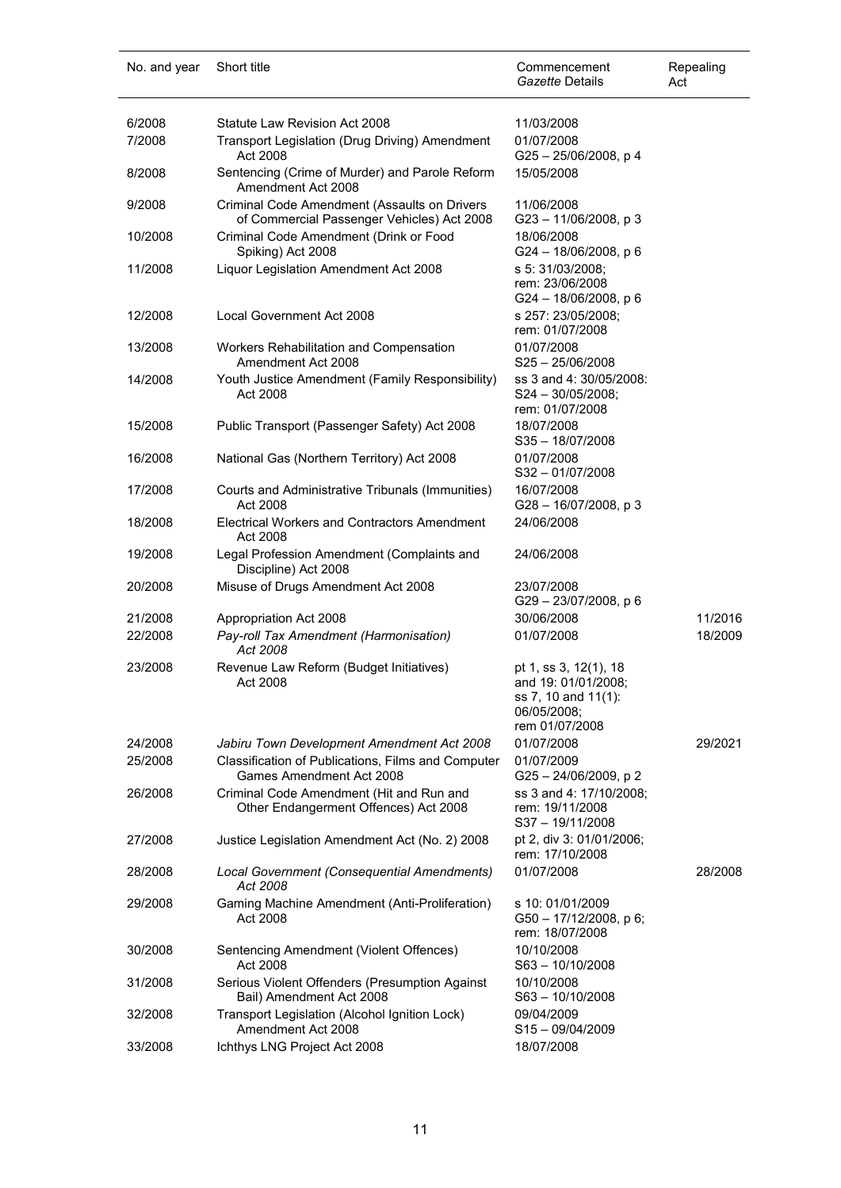| No. and year | Short title                                                                                | Commencement<br>Gazette Details                                                                      | Repealing<br>Act |
|--------------|--------------------------------------------------------------------------------------------|------------------------------------------------------------------------------------------------------|------------------|
| 6/2008       | Statute Law Revision Act 2008                                                              | 11/03/2008                                                                                           |                  |
| 7/2008       | Transport Legislation (Drug Driving) Amendment                                             | 01/07/2008                                                                                           |                  |
| 8/2008       | Act 2008<br>Sentencing (Crime of Murder) and Parole Reform<br>Amendment Act 2008           | G25-25/06/2008, p 4<br>15/05/2008                                                                    |                  |
| 9/2008       | Criminal Code Amendment (Assaults on Drivers<br>of Commercial Passenger Vehicles) Act 2008 | 11/06/2008<br>G23-11/06/2008, p3                                                                     |                  |
| 10/2008      | Criminal Code Amendment (Drink or Food<br>Spiking) Act 2008                                | 18/06/2008<br>G24 - 18/06/2008, p 6                                                                  |                  |
| 11/2008      | Liquor Legislation Amendment Act 2008                                                      | s 5: 31/03/2008;<br>rem: 23/06/2008<br>G24 - 18/06/2008, p 6                                         |                  |
| 12/2008      | Local Government Act 2008                                                                  | s 257: 23/05/2008;<br>rem: 01/07/2008                                                                |                  |
| 13/2008      | Workers Rehabilitation and Compensation<br>Amendment Act 2008                              | 01/07/2008<br>$S25 - 25/06/2008$                                                                     |                  |
| 14/2008      | Youth Justice Amendment (Family Responsibility)<br>Act 2008                                | ss 3 and 4: 30/05/2008:<br>$S24 - 30/05/2008;$<br>rem: 01/07/2008                                    |                  |
| 15/2008      | Public Transport (Passenger Safety) Act 2008                                               | 18/07/2008<br>S35-18/07/2008                                                                         |                  |
| 16/2008      | National Gas (Northern Territory) Act 2008                                                 | 01/07/2008<br>$S32 - 01/07/2008$                                                                     |                  |
| 17/2008      | Courts and Administrative Tribunals (Immunities)<br>Act 2008                               | 16/07/2008<br>G28-16/07/2008, p 3                                                                    |                  |
| 18/2008      | <b>Electrical Workers and Contractors Amendment</b><br>Act 2008                            | 24/06/2008                                                                                           |                  |
| 19/2008      | Legal Profession Amendment (Complaints and<br>Discipline) Act 2008                         | 24/06/2008                                                                                           |                  |
| 20/2008      | Misuse of Drugs Amendment Act 2008                                                         | 23/07/2008<br>G29-23/07/2008, p 6                                                                    |                  |
| 21/2008      | Appropriation Act 2008                                                                     | 30/06/2008                                                                                           | 11/2016          |
| 22/2008      | Pay-roll Tax Amendment (Harmonisation)<br>Act 2008                                         | 01/07/2008                                                                                           | 18/2009          |
| 23/2008      | Revenue Law Reform (Budget Initiatives)<br>Act 2008                                        | pt 1, ss 3, 12(1), 18<br>and 19: 01/01/2008;<br>ss 7, 10 and 11(1):<br>06/05/2008;<br>rem 01/07/2008 |                  |
| 24/2008      | Jabiru Town Development Amendment Act 2008                                                 | 01/07/2008                                                                                           | 29/2021          |
| 25/2008      | Classification of Publications, Films and Computer<br>Games Amendment Act 2008             | 01/07/2009<br>G25-24/06/2009, p2                                                                     |                  |
| 26/2008      | Criminal Code Amendment (Hit and Run and<br>Other Endangerment Offences) Act 2008          | ss 3 and 4: 17/10/2008;<br>rem: 19/11/2008<br>S37-19/11/2008                                         |                  |
| 27/2008      | Justice Legislation Amendment Act (No. 2) 2008                                             | pt 2, div 3: 01/01/2006;<br>rem: 17/10/2008                                                          |                  |
| 28/2008      | Local Government (Consequential Amendments)<br>Act 2008                                    | 01/07/2008                                                                                           | 28/2008          |
| 29/2008      | Gaming Machine Amendment (Anti-Proliferation)<br>Act 2008                                  | s 10: 01/01/2009<br>G50 - 17/12/2008, p 6;<br>rem: 18/07/2008                                        |                  |
| 30/2008      | Sentencing Amendment (Violent Offences)<br>Act 2008                                        | 10/10/2008<br>S63-10/10/2008                                                                         |                  |
| 31/2008      | Serious Violent Offenders (Presumption Against<br>Bail) Amendment Act 2008                 | 10/10/2008<br>$S63 - 10/10/2008$                                                                     |                  |
| 32/2008      | Transport Legislation (Alcohol Ignition Lock)<br>Amendment Act 2008                        | 09/04/2009<br>S15-09/04/2009                                                                         |                  |
| 33/2008      | Ichthys LNG Project Act 2008                                                               | 18/07/2008                                                                                           |                  |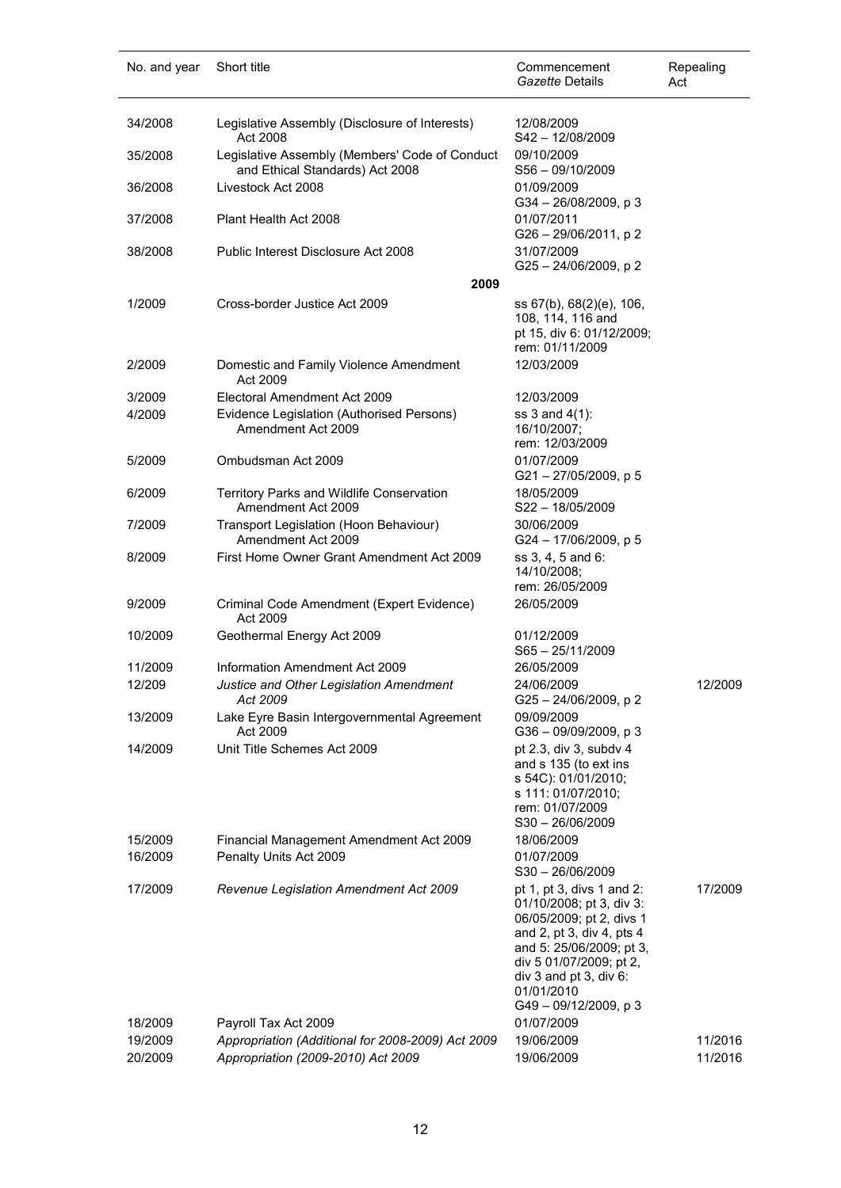| No. and year       | Short title                                                                       | Commencement<br>Gazette Details                                                                                                                                                                                                      | Repealing<br>Act |
|--------------------|-----------------------------------------------------------------------------------|--------------------------------------------------------------------------------------------------------------------------------------------------------------------------------------------------------------------------------------|------------------|
| 34/2008            | Legislative Assembly (Disclosure of Interests)<br>Act 2008                        | 12/08/2009<br>$S42 - 12/08/2009$                                                                                                                                                                                                     |                  |
| 35/2008            | Legislative Assembly (Members' Code of Conduct<br>and Ethical Standards) Act 2008 | 09/10/2009<br>$S56 - 09/10/2009$                                                                                                                                                                                                     |                  |
| 36/2008            | Livestock Act 2008                                                                | 01/09/2009                                                                                                                                                                                                                           |                  |
| 37/2008            | Plant Health Act 2008                                                             | $G34 - 26/08/2009$ , p 3<br>01/07/2011<br>G26 - 29/06/2011, p 2                                                                                                                                                                      |                  |
| 38/2008            | Public Interest Disclosure Act 2008                                               | 31/07/2009<br>$G25 - 24/06/2009$ , p 2                                                                                                                                                                                               |                  |
|                    | 2009                                                                              |                                                                                                                                                                                                                                      |                  |
| 1/2009             | Cross-border Justice Act 2009                                                     | ss 67(b), 68(2)(e), 106,<br>108, 114, 116 and<br>pt 15, div 6: 01/12/2009;<br>rem: 01/11/2009                                                                                                                                        |                  |
| 2/2009             | Domestic and Family Violence Amendment<br>Act 2009                                | 12/03/2009                                                                                                                                                                                                                           |                  |
| 3/2009             | Electoral Amendment Act 2009                                                      | 12/03/2009                                                                                                                                                                                                                           |                  |
| 4/2009             | Evidence Legislation (Authorised Persons)<br>Amendment Act 2009                   | ss 3 and 4(1):<br>16/10/2007;<br>rem: 12/03/2009                                                                                                                                                                                     |                  |
| 5/2009             | Ombudsman Act 2009                                                                | 01/07/2009<br>G21-27/05/2009, p 5                                                                                                                                                                                                    |                  |
| 6/2009             | Territory Parks and Wildlife Conservation<br>Amendment Act 2009                   | 18/05/2009<br>$S22 - 18/05/2009$                                                                                                                                                                                                     |                  |
| 7/2009             | Transport Legislation (Hoon Behaviour)<br>Amendment Act 2009                      | 30/06/2009<br>G24 - 17/06/2009, p 5                                                                                                                                                                                                  |                  |
| 8/2009             | First Home Owner Grant Amendment Act 2009                                         | ss 3, 4, 5 and 6:<br>14/10/2008;<br>rem: 26/05/2009                                                                                                                                                                                  |                  |
| 9/2009             | Criminal Code Amendment (Expert Evidence)<br>Act 2009                             | 26/05/2009                                                                                                                                                                                                                           |                  |
| 10/2009            | Geothermal Energy Act 2009                                                        | 01/12/2009<br>$S65 - 25/11/2009$                                                                                                                                                                                                     |                  |
| 11/2009            | Information Amendment Act 2009                                                    | 26/05/2009                                                                                                                                                                                                                           |                  |
| 12/209             | Justice and Other Legislation Amendment<br>Act 2009                               | 24/06/2009<br>G25 - 24/06/2009, p 2                                                                                                                                                                                                  | 12/2009          |
| 13/2009            | Lake Eyre Basin Intergovernmental Agreement<br>Act 2009                           | 09/09/2009<br>G36 - 09/09/2009, p 3                                                                                                                                                                                                  |                  |
| 14/2009            | Unit Title Schemes Act 2009                                                       | pt 2.3, div 3, subdv 4<br>and s 135 (to ext ins<br>s 54C): 01/01/2010;<br>s 111: 01/07/2010;<br>rem: 01/07/2009<br>$S30 - 26/06/2009$                                                                                                |                  |
| 15/2009            | Financial Management Amendment Act 2009                                           | 18/06/2009                                                                                                                                                                                                                           |                  |
| 16/2009            | Penalty Units Act 2009                                                            | 01/07/2009<br>$S30 - 26/06/2009$                                                                                                                                                                                                     |                  |
| 17/2009            | Revenue Legislation Amendment Act 2009                                            | pt 1, pt 3, divs 1 and 2:<br>01/10/2008; pt 3, div 3:<br>06/05/2009; pt 2, divs 1<br>and 2, pt 3, div 4, pts 4<br>and 5: 25/06/2009; pt 3,<br>div 5 01/07/2009; pt 2,<br>div 3 and pt 3, div 6:<br>01/01/2010<br>G49-09/12/2009, p 3 | 17/2009          |
| 18/2009<br>19/2009 | Payroll Tax Act 2009<br>Appropriation (Additional for 2008-2009) Act 2009         | 01/07/2009<br>19/06/2009                                                                                                                                                                                                             | 11/2016          |
| 20/2009            | Appropriation (2009-2010) Act 2009                                                | 19/06/2009                                                                                                                                                                                                                           | 11/2016          |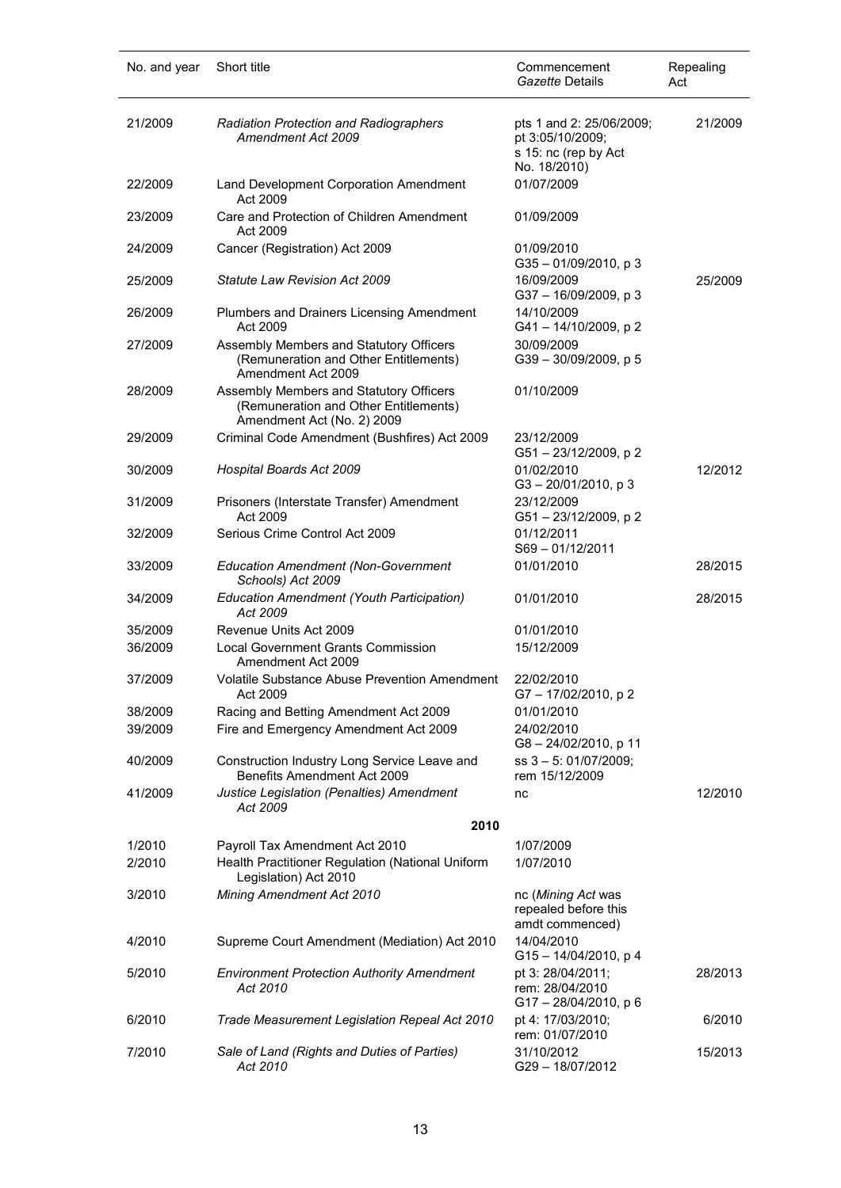| No. and year | Short title                                                                                                    | Commencement<br>Gazette Details                                      | Repealing<br>Act |
|--------------|----------------------------------------------------------------------------------------------------------------|----------------------------------------------------------------------|------------------|
| 21/2009      | <b>Radiation Protection and Radiographers</b><br>Amendment Act 2009                                            | pts 1 and 2: 25/06/2009;<br>pt 3:05/10/2009;<br>s 15: nc (rep by Act | 21/2009          |
| 22/2009      | Land Development Corporation Amendment<br>Act 2009                                                             | No. 18/2010)<br>01/07/2009                                           |                  |
| 23/2009      | Care and Protection of Children Amendment<br>Act 2009                                                          | 01/09/2009                                                           |                  |
| 24/2009      | Cancer (Registration) Act 2009                                                                                 | 01/09/2010<br>G35-01/09/2010, p 3                                    |                  |
| 25/2009      | <b>Statute Law Revision Act 2009</b>                                                                           | 16/09/2009<br>G37 - 16/09/2009, p 3                                  | 25/2009          |
| 26/2009      | Plumbers and Drainers Licensing Amendment<br>Act 2009                                                          | 14/10/2009<br>G41-14/10/2009, p 2                                    |                  |
| 27/2009      | Assembly Members and Statutory Officers<br>(Remuneration and Other Entitlements)<br>Amendment Act 2009         | 30/09/2009<br>G39-30/09/2009, p 5                                    |                  |
| 28/2009      | Assembly Members and Statutory Officers<br>(Remuneration and Other Entitlements)<br>Amendment Act (No. 2) 2009 | 01/10/2009                                                           |                  |
| 29/2009      | Criminal Code Amendment (Bushfires) Act 2009                                                                   | 23/12/2009<br>G51-23/12/2009, p2                                     |                  |
| 30/2009      | Hospital Boards Act 2009                                                                                       | 01/02/2010<br>$G3 - 20/01/2010$ , p 3                                | 12/2012          |
| 31/2009      | Prisoners (Interstate Transfer) Amendment<br>Act 2009                                                          | 23/12/2009<br>G51-23/12/2009, p 2                                    |                  |
| 32/2009      | Serious Crime Control Act 2009                                                                                 | 01/12/2011<br>S69-01/12/2011                                         |                  |
| 33/2009      | <b>Education Amendment (Non-Government</b><br>Schools) Act 2009                                                | 01/01/2010                                                           | 28/2015          |
| 34/2009      | Education Amendment (Youth Participation)<br>Act 2009                                                          | 01/01/2010                                                           | 28/2015          |
| 35/2009      | Revenue Units Act 2009                                                                                         | 01/01/2010                                                           |                  |
| 36/2009      | <b>Local Government Grants Commission</b><br>Amendment Act 2009                                                | 15/12/2009                                                           |                  |
| 37/2009      | Volatile Substance Abuse Prevention Amendment<br>Act 2009                                                      | 22/02/2010<br>G7-17/02/2010, p2                                      |                  |
| 38/2009      | Racing and Betting Amendment Act 2009                                                                          | 01/01/2010                                                           |                  |
| 39/2009      | Fire and Emergency Amendment Act 2009                                                                          | 24/02/2010<br>G8-24/02/2010, p 11                                    |                  |
| 40/2009      | Construction Industry Long Service Leave and<br>Benefits Amendment Act 2009                                    | ss 3 - 5: 01/07/2009;<br>rem 15/12/2009                              |                  |
| 41/2009      | Justice Legislation (Penalties) Amendment<br>Act 2009                                                          | nc                                                                   | 12/2010          |
|              | 2010                                                                                                           |                                                                      |                  |
| 1/2010       | Payroll Tax Amendment Act 2010                                                                                 | 1/07/2009                                                            |                  |
| 2/2010       | Health Practitioner Regulation (National Uniform<br>Legislation) Act 2010                                      | 1/07/2010                                                            |                  |
| 3/2010       | Mining Amendment Act 2010                                                                                      | nc (Mining Act was<br>repealed before this<br>amdt commenced)        |                  |
| 4/2010       | Supreme Court Amendment (Mediation) Act 2010                                                                   | 14/04/2010<br>G15-14/04/2010, p 4                                    |                  |
| 5/2010       | <b>Environment Protection Authority Amendment</b><br>Act 2010                                                  | pt 3: 28/04/2011;<br>rem: 28/04/2010<br>G17-28/04/2010, p 6          | 28/2013          |
| 6/2010       | Trade Measurement Legislation Repeal Act 2010                                                                  | pt 4: 17/03/2010;<br>rem: 01/07/2010                                 | 6/2010           |
| 7/2010       | Sale of Land (Rights and Duties of Parties)<br>Act 2010                                                        | 31/10/2012<br>G29-18/07/2012                                         | 15/2013          |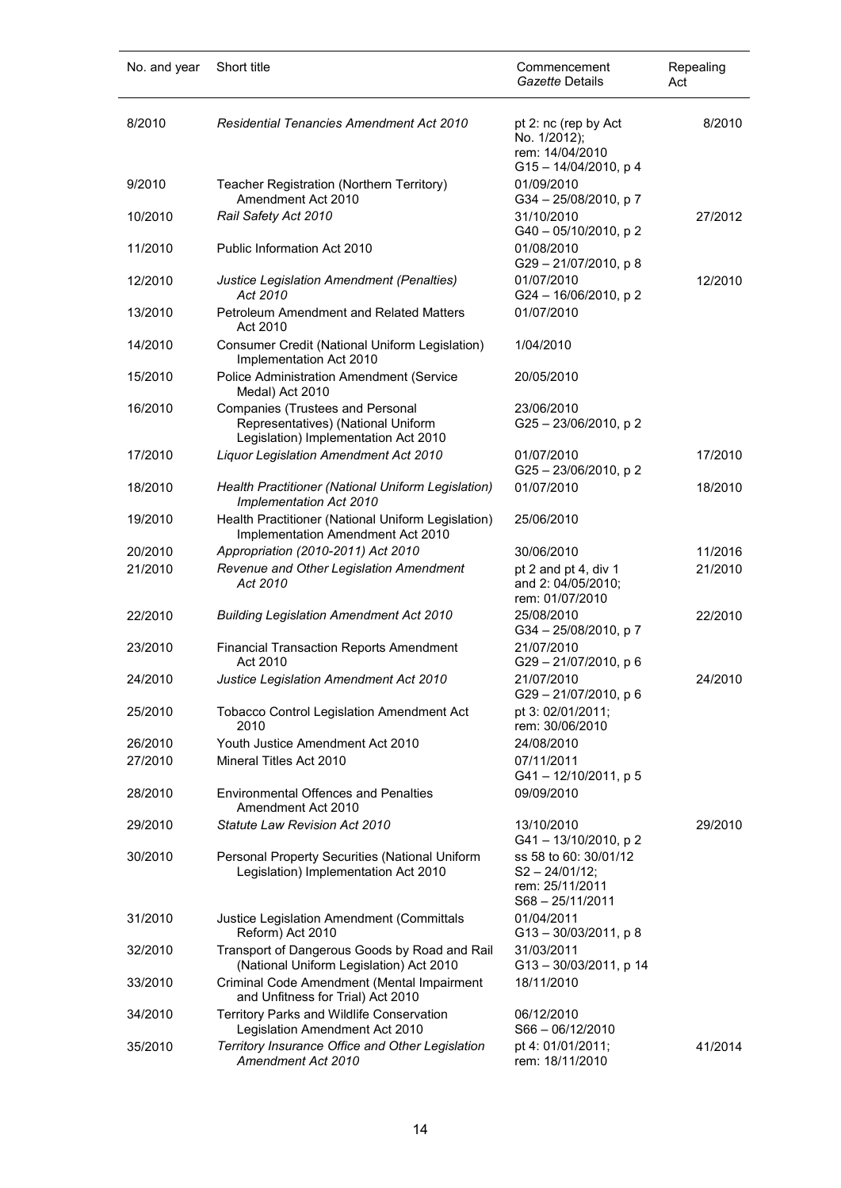| No. and year | Short title                                                                                                           | Commencement<br>Gazette Details                                                     | Repealing<br>Act |
|--------------|-----------------------------------------------------------------------------------------------------------------------|-------------------------------------------------------------------------------------|------------------|
| 8/2010       | <b>Residential Tenancies Amendment Act 2010</b>                                                                       | pt 2: nc (rep by Act<br>No. 1/2012);<br>rem: 14/04/2010<br>G15-14/04/2010, p 4      | 8/2010           |
| 9/2010       | Teacher Registration (Northern Territory)<br>Amendment Act 2010                                                       | 01/09/2010<br>G34-25/08/2010, p7                                                    |                  |
| 10/2010      | Rail Safety Act 2010                                                                                                  | 31/10/2010<br>G40 - 05/10/2010, p 2                                                 | 27/2012          |
| 11/2010      | Public Information Act 2010                                                                                           | 01/08/2010<br>G29-21/07/2010, p8                                                    |                  |
| 12/2010      | Justice Legislation Amendment (Penalties)<br>Act 2010                                                                 | 01/07/2010<br>G24 - 16/06/2010, p 2                                                 | 12/2010          |
| 13/2010      | <b>Petroleum Amendment and Related Matters</b><br>Act 2010                                                            | 01/07/2010                                                                          |                  |
| 14/2010      | Consumer Credit (National Uniform Legislation)<br>Implementation Act 2010                                             | 1/04/2010                                                                           |                  |
| 15/2010      | Police Administration Amendment (Service<br>Medal) Act 2010                                                           | 20/05/2010                                                                          |                  |
| 16/2010      | <b>Companies (Trustees and Personal</b><br>Representatives) (National Uniform<br>Legislation) Implementation Act 2010 | 23/06/2010<br>$G25 - 23/06/2010$ , p 2                                              |                  |
| 17/2010      | Liquor Legislation Amendment Act 2010                                                                                 | 01/07/2010<br>G25-23/06/2010, p2                                                    | 17/2010          |
| 18/2010      | Health Practitioner (National Uniform Legislation)<br>Implementation Act 2010                                         | 01/07/2010                                                                          | 18/2010          |
| 19/2010      | Health Practitioner (National Uniform Legislation)<br>Implementation Amendment Act 2010                               | 25/06/2010                                                                          |                  |
| 20/2010      | Appropriation (2010-2011) Act 2010                                                                                    | 30/06/2010                                                                          | 11/2016          |
| 21/2010      | Revenue and Other Legislation Amendment<br>Act 2010                                                                   | pt 2 and pt 4, div 1<br>and 2: 04/05/2010;<br>rem: 01/07/2010                       | 21/2010          |
| 22/2010      | <b>Building Legislation Amendment Act 2010</b>                                                                        | 25/08/2010<br>G34 - 25/08/2010, p 7                                                 | 22/2010          |
| 23/2010      | <b>Financial Transaction Reports Amendment</b><br>Act 2010                                                            | 21/07/2010<br>G29-21/07/2010, p 6                                                   |                  |
| 24/2010      | Justice Legislation Amendment Act 2010                                                                                | 21/07/2010<br>G29-21/07/2010, p 6                                                   | 24/2010          |
| 25/2010      | <b>Tobacco Control Legislation Amendment Act</b><br>2010                                                              | pt 3: 02/01/2011;<br>rem: 30/06/2010                                                |                  |
| 26/2010      | Youth Justice Amendment Act 2010                                                                                      | 24/08/2010                                                                          |                  |
| 27/2010      | Mineral Titles Act 2010                                                                                               | 07/11/2011<br>G41-12/10/2011, p 5                                                   |                  |
| 28/2010      | <b>Environmental Offences and Penalties</b><br>Amendment Act 2010                                                     | 09/09/2010                                                                          |                  |
| 29/2010      | Statute Law Revision Act 2010                                                                                         | 13/10/2010<br>G41-13/10/2010, p2                                                    | 29/2010          |
| 30/2010      | Personal Property Securities (National Uniform<br>Legislation) Implementation Act 2010                                | ss 58 to 60: 30/01/12<br>$S2 - 24/01/12$ ;<br>rem: 25/11/2011<br>$S68 - 25/11/2011$ |                  |
| 31/2010      | Justice Legislation Amendment (Committals<br>Reform) Act 2010                                                         | 01/04/2011<br>$G13 - 30/03/2011$ , p 8                                              |                  |
| 32/2010      | Transport of Dangerous Goods by Road and Rail<br>(National Uniform Legislation) Act 2010                              | 31/03/2011<br>G13-30/03/2011, p 14                                                  |                  |
| 33/2010      | Criminal Code Amendment (Mental Impairment<br>and Unfitness for Trial) Act 2010                                       | 18/11/2010                                                                          |                  |
| 34/2010      | Territory Parks and Wildlife Conservation<br>Legislation Amendment Act 2010                                           | 06/12/2010<br>$S66 - 06/12/2010$                                                    |                  |
| 35/2010      | Territory Insurance Office and Other Legislation<br>Amendment Act 2010                                                | pt 4: 01/01/2011;<br>rem: 18/11/2010                                                | 41/2014          |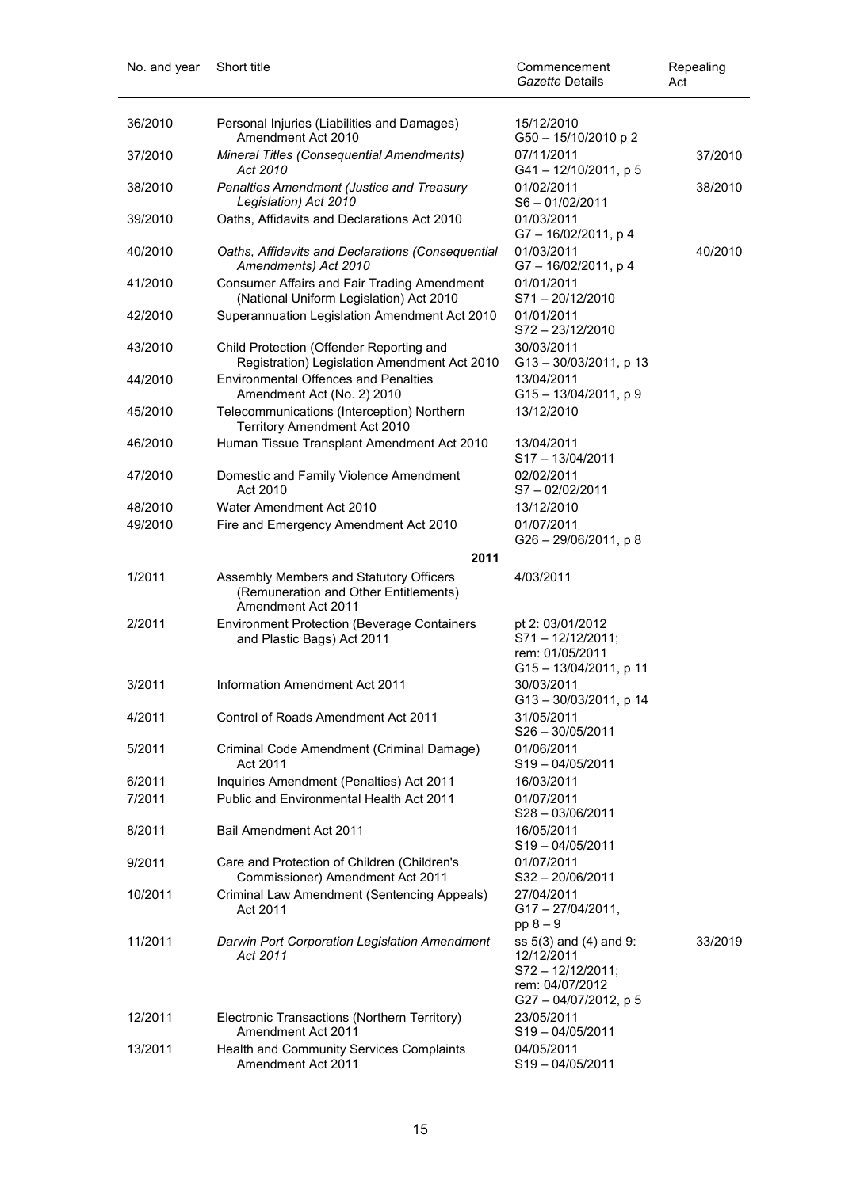| No. and year       | Short title                                                                                            | Commencement<br>Gazette Details                                                                       | Repealing<br>Act |
|--------------------|--------------------------------------------------------------------------------------------------------|-------------------------------------------------------------------------------------------------------|------------------|
| 36/2010            | Personal Injuries (Liabilities and Damages)<br>Amendment Act 2010                                      | 15/12/2010<br>G50 - 15/10/2010 p 2                                                                    |                  |
| 37/2010            | Mineral Titles (Consequential Amendments)<br>Act 2010                                                  | 07/11/2011<br>G41-12/10/2011, p 5                                                                     | 37/2010          |
| 38/2010            | Penalties Amendment (Justice and Treasury<br>Legislation) Act 2010                                     | 01/02/2011<br>$S6 - 01/02/2011$                                                                       | 38/2010          |
| 39/2010            | Oaths, Affidavits and Declarations Act 2010                                                            | 01/03/2011<br>G7-16/02/2011, p4                                                                       |                  |
| 40/2010            | Oaths, Affidavits and Declarations (Consequential<br>Amendments) Act 2010                              | 01/03/2011<br>G7-16/02/2011, p 4                                                                      | 40/2010          |
| 41/2010            | Consumer Affairs and Fair Trading Amendment<br>(National Uniform Legislation) Act 2010                 | 01/01/2011<br>S71-20/12/2010                                                                          |                  |
| 42/2010            | Superannuation Legislation Amendment Act 2010                                                          | 01/01/2011<br>S72-23/12/2010                                                                          |                  |
| 43/2010            | Child Protection (Offender Reporting and<br>Registration) Legislation Amendment Act 2010               | 30/03/2011<br>G13-30/03/2011, p 13                                                                    |                  |
| 44/2010            | <b>Environmental Offences and Penalties</b><br>Amendment Act (No. 2) 2010                              | 13/04/2011<br>G15-13/04/2011, p 9                                                                     |                  |
| 45/2010            | Telecommunications (Interception) Northern<br>Territory Amendment Act 2010                             | 13/12/2010                                                                                            |                  |
| 46/2010            | Human Tissue Transplant Amendment Act 2010                                                             | 13/04/2011<br>$S17 - 13/04/2011$                                                                      |                  |
| 47/2010            | Domestic and Family Violence Amendment<br>Act 2010                                                     | 02/02/2011<br>S7-02/02/2011                                                                           |                  |
| 48/2010<br>49/2010 | Water Amendment Act 2010<br>Fire and Emergency Amendment Act 2010                                      | 13/12/2010<br>01/07/2011                                                                              |                  |
|                    | 2011                                                                                                   | G26 - 29/06/2011, p 8                                                                                 |                  |
| 1/2011             | Assembly Members and Statutory Officers<br>(Remuneration and Other Entitlements)<br>Amendment Act 2011 | 4/03/2011                                                                                             |                  |
| 2/2011             | <b>Environment Protection (Beverage Containers</b><br>and Plastic Bags) Act 2011                       | pt 2: 03/01/2012<br>$S71 - 12/12/2011$ ;<br>rem: 01/05/2011<br>G15-13/04/2011, p 11                   |                  |
| 3/2011             | Information Amendment Act 2011                                                                         | 30/03/2011<br>G13-30/03/2011, p 14                                                                    |                  |
| 4/2011             | Control of Roads Amendment Act 2011                                                                    | 31/05/2011<br>$S26 - 30/05/2011$                                                                      |                  |
| 5/2011             | Criminal Code Amendment (Criminal Damage)<br>Act 2011                                                  | 01/06/2011<br>$S19 - 04/05/2011$                                                                      |                  |
| 6/2011<br>7/2011   | Inquiries Amendment (Penalties) Act 2011<br>Public and Environmental Health Act 2011                   | 16/03/2011<br>01/07/2011                                                                              |                  |
| 8/2011             | Bail Amendment Act 2011                                                                                | $S28 - 03/06/2011$<br>16/05/2011                                                                      |                  |
|                    |                                                                                                        | $S19 - 04/05/2011$                                                                                    |                  |
| 9/2011             | Care and Protection of Children (Children's<br>Commissioner) Amendment Act 2011                        | 01/07/2011<br>S32-20/06/2011                                                                          |                  |
| 10/2011            | Criminal Law Amendment (Sentencing Appeals)<br>Act 2011                                                | 27/04/2011<br>$G17 - 27/04/2011,$<br>$pp 8 - 9$                                                       |                  |
| 11/2011            | Darwin Port Corporation Legislation Amendment<br>Act 2011                                              | ss 5(3) and (4) and 9:<br>12/12/2011<br>S72 - 12/12/2011;<br>rem: 04/07/2012<br>G27 - 04/07/2012, p 5 | 33/2019          |
| 12/2011            | Electronic Transactions (Northern Territory)<br>Amendment Act 2011                                     | 23/05/2011<br>$S19 - 04/05/2011$                                                                      |                  |
| 13/2011            | Health and Community Services Complaints<br>Amendment Act 2011                                         | 04/05/2011<br>S19-04/05/2011                                                                          |                  |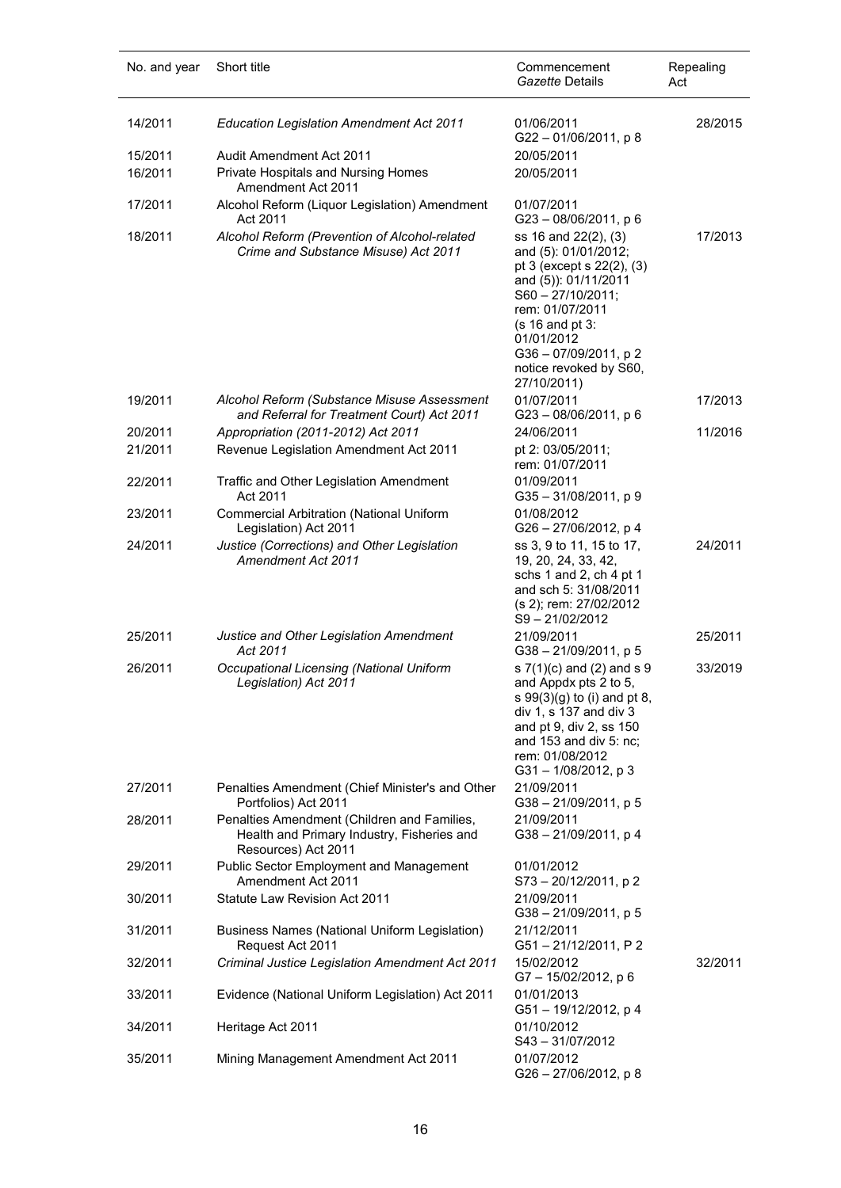| No. and year       | Short title                                                                                                      | Commencement<br>Gazette Details                                                                                                                                                                                                                  | Repealing<br>Act |
|--------------------|------------------------------------------------------------------------------------------------------------------|--------------------------------------------------------------------------------------------------------------------------------------------------------------------------------------------------------------------------------------------------|------------------|
| 14/2011            | <b>Education Legislation Amendment Act 2011</b>                                                                  | 01/06/2011<br>G22-01/06/2011, p8                                                                                                                                                                                                                 | 28/2015          |
| 15/2011<br>16/2011 | Audit Amendment Act 2011<br><b>Private Hospitals and Nursing Homes</b><br>Amendment Act 2011                     | 20/05/2011<br>20/05/2011                                                                                                                                                                                                                         |                  |
| 17/2011            | Alcohol Reform (Liquor Legislation) Amendment<br>Act 2011                                                        | 01/07/2011<br>$G23 - 08/06/2011$ , p 6                                                                                                                                                                                                           |                  |
| 18/2011            | Alcohol Reform (Prevention of Alcohol-related<br>Crime and Substance Misuse) Act 2011                            | ss 16 and 22(2), (3)<br>and (5): 01/01/2012;<br>pt 3 (except s 22(2), (3)<br>and (5)): 01/11/2011<br>$S60 - 27/10/2011;$<br>rem: 01/07/2011<br>$(s 16$ and pt $3$ :<br>01/01/2012<br>G36-07/09/2011, p2<br>notice revoked by S60,<br>27/10/2011) | 17/2013          |
| 19/2011            | Alcohol Reform (Substance Misuse Assessment<br>and Referral for Treatment Court) Act 2011                        | 01/07/2011<br>G23-08/06/2011, p6                                                                                                                                                                                                                 | 17/2013          |
| 20/2011            | Appropriation (2011-2012) Act 2011                                                                               | 24/06/2011                                                                                                                                                                                                                                       | 11/2016          |
| 21/2011            | Revenue Legislation Amendment Act 2011                                                                           | pt 2: 03/05/2011;<br>rem: 01/07/2011                                                                                                                                                                                                             |                  |
| 22/2011            | Traffic and Other Legislation Amendment<br>Act 2011                                                              | 01/09/2011<br>G35-31/08/2011, p 9                                                                                                                                                                                                                |                  |
| 23/2011            | <b>Commercial Arbitration (National Uniform</b><br>Legislation) Act 2011                                         | 01/08/2012<br>G26 - 27/06/2012, p 4                                                                                                                                                                                                              |                  |
| 24/2011            | Justice (Corrections) and Other Legislation<br><b>Amendment Act 2011</b>                                         | ss 3, 9 to 11, 15 to 17,<br>19, 20, 24, 33, 42,<br>schs 1 and 2, ch 4 pt 1<br>and sch 5: 31/08/2011<br>(s 2); rem: 27/02/2012<br>S9-21/02/2012                                                                                                   | 24/2011          |
| 25/2011            | Justice and Other Legislation Amendment<br>Act 2011                                                              | 21/09/2011<br>$G38 - 21/09/2011$ , p 5                                                                                                                                                                                                           | 25/2011          |
| 26/2011            | Occupational Licensing (National Uniform<br>Legislation) Act 2011                                                | s 7(1)(c) and (2) and s 9<br>and Appdx pts 2 to 5,<br>s 99(3)(g) to (i) and pt 8,<br>div 1, s 137 and div 3<br>and pt 9, div 2, ss 150<br>and 153 and div 5: nc;<br>rem: 01/08/2012<br>G31-1/08/2012, p3                                         | 33/2019          |
| 27/2011            | Penalties Amendment (Chief Minister's and Other<br>Portfolios) Act 2011                                          | 21/09/2011<br>G38-21/09/2011, p 5                                                                                                                                                                                                                |                  |
| 28/2011            | Penalties Amendment (Children and Families,<br>Health and Primary Industry, Fisheries and<br>Resources) Act 2011 | 21/09/2011<br>G38-21/09/2011, p 4                                                                                                                                                                                                                |                  |
| 29/2011            | <b>Public Sector Employment and Management</b><br>Amendment Act 2011                                             | 01/01/2012<br>S73-20/12/2011, p2                                                                                                                                                                                                                 |                  |
| 30/2011            | Statute Law Revision Act 2011                                                                                    | 21/09/2011<br>G38-21/09/2011, p 5                                                                                                                                                                                                                |                  |
| 31/2011            | <b>Business Names (National Uniform Legislation)</b><br>Request Act 2011                                         | 21/12/2011<br>G51-21/12/2011, P2                                                                                                                                                                                                                 |                  |
| 32/2011            | Criminal Justice Legislation Amendment Act 2011                                                                  | 15/02/2012<br>G7-15/02/2012, p6                                                                                                                                                                                                                  | 32/2011          |
| 33/2011            | Evidence (National Uniform Legislation) Act 2011                                                                 | 01/01/2013<br>G51-19/12/2012, p 4                                                                                                                                                                                                                |                  |
| 34/2011            | Heritage Act 2011                                                                                                | 01/10/2012<br>S43-31/07/2012                                                                                                                                                                                                                     |                  |
| 35/2011            | Mining Management Amendment Act 2011                                                                             | 01/07/2012<br>G26 - 27/06/2012, p 8                                                                                                                                                                                                              |                  |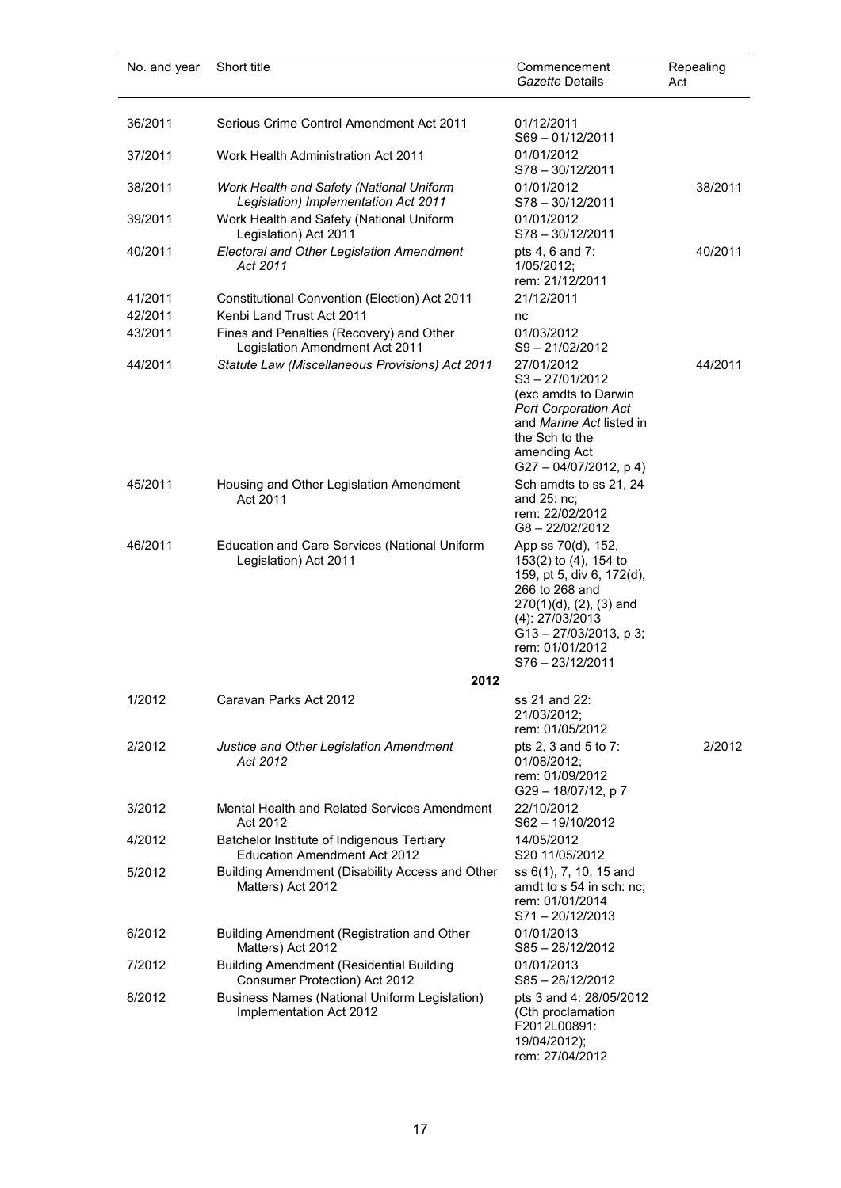| No. and year       | Short title                                                                       | Commencement<br>Gazette Details                                                                                                                                                                                | Repealing<br>Act |
|--------------------|-----------------------------------------------------------------------------------|----------------------------------------------------------------------------------------------------------------------------------------------------------------------------------------------------------------|------------------|
| 36/2011            | Serious Crime Control Amendment Act 2011                                          | 01/12/2011<br>S69-01/12/2011                                                                                                                                                                                   |                  |
| 37/2011            | Work Health Administration Act 2011                                               | 01/01/2012<br>$S78 - 30/12/2011$                                                                                                                                                                               |                  |
| 38/2011            | Work Health and Safety (National Uniform<br>Legislation) Implementation Act 2011  | 01/01/2012<br>$S78 - 30/12/2011$                                                                                                                                                                               | 38/2011          |
| 39/2011            | Work Health and Safety (National Uniform<br>Legislation) Act 2011                 | 01/01/2012<br>S78 - 30/12/2011                                                                                                                                                                                 |                  |
| 40/2011            | <b>Electoral and Other Legislation Amendment</b><br>Act 2011                      | pts 4, 6 and 7:<br>1/05/2012;<br>rem: 21/12/2011                                                                                                                                                               | 40/2011          |
| 41/2011<br>42/2011 | Constitutional Convention (Election) Act 2011<br>Kenbi Land Trust Act 2011        | 21/12/2011                                                                                                                                                                                                     |                  |
| 43/2011            | Fines and Penalties (Recovery) and Other                                          | nc<br>01/03/2012                                                                                                                                                                                               |                  |
| 44/2011            | Legislation Amendment Act 2011<br>Statute Law (Miscellaneous Provisions) Act 2011 | $S9 - 21/02/2012$<br>27/01/2012<br>S <sub>3</sub> - 27/01/2012<br>(exc amdts to Darwin<br><b>Port Corporation Act</b><br>and Marine Act listed in<br>the Sch to the<br>amending Act<br>G27-04/07/2012, p4)     | 44/2011          |
| 45/2011            | Housing and Other Legislation Amendment<br>Act 2011                               | Sch amdts to ss 21, 24<br>and 25: nc;<br>rem: 22/02/2012<br>G8-22/02/2012                                                                                                                                      |                  |
| 46/2011            | <b>Education and Care Services (National Uniform</b><br>Legislation) Act 2011     | App ss 70(d), 152,<br>153(2) to (4), 154 to<br>159, pt 5, div 6, 172(d),<br>266 to 268 and<br>270(1)(d), (2), (3) and<br>(4): 27/03/2013<br>$G13 - 27/03/2013$ , p 3;<br>rem: 01/01/2012<br>$S76 - 23/12/2011$ |                  |
|                    | 2012                                                                              |                                                                                                                                                                                                                |                  |
| 1/2012             | Caravan Parks Act 2012                                                            | ss 21 and 22:<br>21/03/2012;<br>rem: 01/05/2012                                                                                                                                                                |                  |
| 2/2012             | Justice and Other Legislation Amendment<br>Act 2012                               | pts 2, 3 and 5 to 7:<br>01/08/2012;<br>rem: 01/09/2012<br>G29-18/07/12, p7                                                                                                                                     | 2/2012           |
| 3/2012             | Mental Health and Related Services Amendment<br>Act 2012                          | 22/10/2012<br>$S62 - 19/10/2012$                                                                                                                                                                               |                  |
| 4/2012             | Batchelor Institute of Indigenous Tertiary<br><b>Education Amendment Act 2012</b> | 14/05/2012<br>S20 11/05/2012                                                                                                                                                                                   |                  |
| 5/2012             | Building Amendment (Disability Access and Other<br>Matters) Act 2012              | ss 6(1), 7, 10, 15 and<br>amdt to s 54 in sch: nc;<br>rem: 01/01/2014<br>S71-20/12/2013                                                                                                                        |                  |
| 6/2012             | Building Amendment (Registration and Other<br>Matters) Act 2012                   | 01/01/2013<br>$S85 - 28/12/2012$                                                                                                                                                                               |                  |
| 7/2012             | <b>Building Amendment (Residential Building</b><br>Consumer Protection) Act 2012  | 01/01/2013<br>$S85 - 28/12/2012$                                                                                                                                                                               |                  |
| 8/2012             | <b>Business Names (National Uniform Legislation)</b><br>Implementation Act 2012   | pts 3 and 4: 28/05/2012<br>(Cth proclamation<br>F2012L00891:<br>19/04/2012);<br>rem: 27/04/2012                                                                                                                |                  |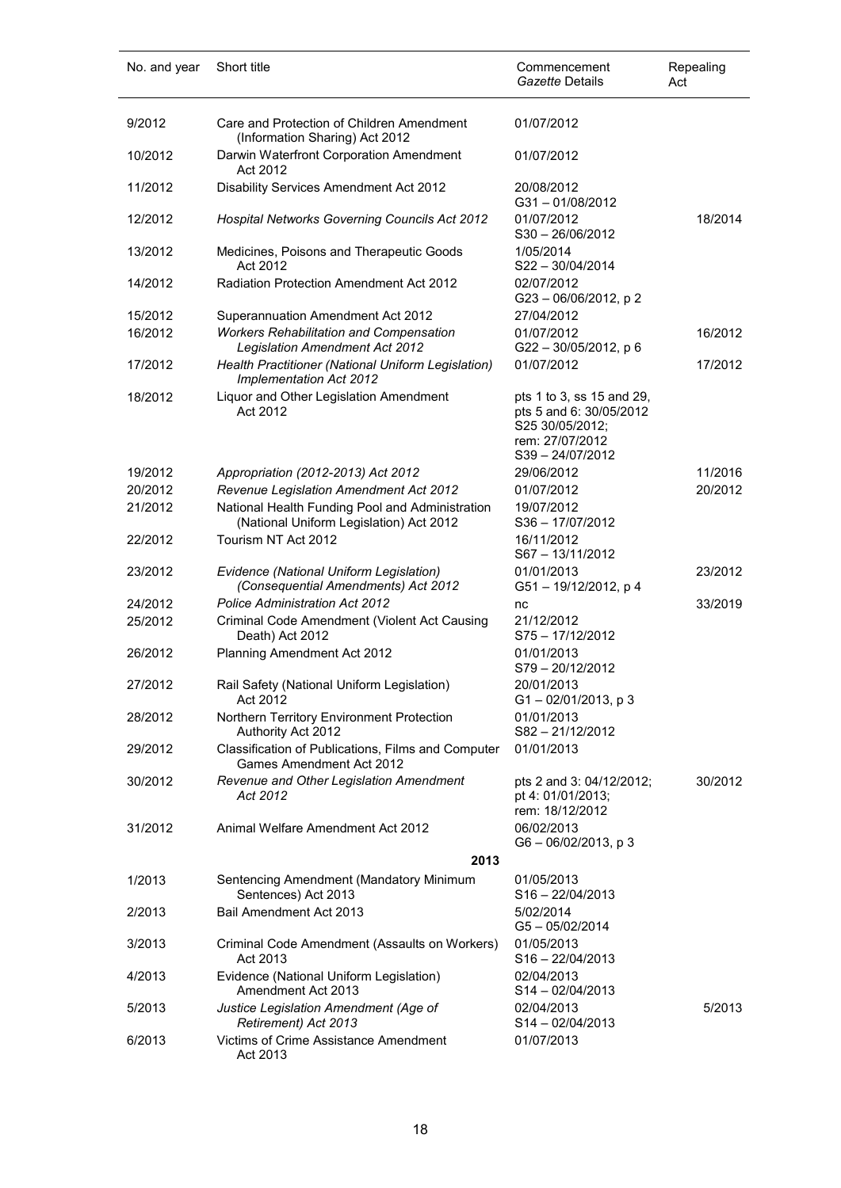| No. and year | Short title                                                                                | Commencement<br>Gazette Details                                                                              | Repealing<br>Act |
|--------------|--------------------------------------------------------------------------------------------|--------------------------------------------------------------------------------------------------------------|------------------|
| 9/2012       | Care and Protection of Children Amendment<br>(Information Sharing) Act 2012                | 01/07/2012                                                                                                   |                  |
| 10/2012      | Darwin Waterfront Corporation Amendment<br>Act 2012                                        | 01/07/2012                                                                                                   |                  |
| 11/2012      | Disability Services Amendment Act 2012                                                     | 20/08/2012<br>$G31 - 01/08/2012$                                                                             |                  |
| 12/2012      | Hospital Networks Governing Councils Act 2012                                              | 01/07/2012<br>$S30 - 26/06/2012$                                                                             | 18/2014          |
| 13/2012      | Medicines, Poisons and Therapeutic Goods<br>Act 2012                                       | 1/05/2014<br>S22-30/04/2014                                                                                  |                  |
| 14/2012      | Radiation Protection Amendment Act 2012                                                    | 02/07/2012<br>G23-06/06/2012, p2                                                                             |                  |
| 15/2012      | Superannuation Amendment Act 2012                                                          | 27/04/2012                                                                                                   |                  |
| 16/2012      | <b>Workers Rehabilitation and Compensation</b><br>Legislation Amendment Act 2012           | 01/07/2012<br>G22-30/05/2012, p 6                                                                            | 16/2012          |
| 17/2012      | Health Practitioner (National Uniform Legislation)<br>Implementation Act 2012              | 01/07/2012                                                                                                   | 17/2012          |
| 18/2012      | Liquor and Other Legislation Amendment<br>Act 2012                                         | pts 1 to 3, ss 15 and 29,<br>pts 5 and 6: 30/05/2012<br>S25 30/05/2012;<br>rem: 27/07/2012<br>S39-24/07/2012 |                  |
| 19/2012      | Appropriation (2012-2013) Act 2012                                                         | 29/06/2012                                                                                                   | 11/2016          |
| 20/2012      | Revenue Legislation Amendment Act 2012                                                     | 01/07/2012                                                                                                   | 20/2012          |
| 21/2012      | National Health Funding Pool and Administration<br>(National Uniform Legislation) Act 2012 | 19/07/2012<br>$S36 - 17/07/2012$                                                                             |                  |
| 22/2012      | Tourism NT Act 2012                                                                        | 16/11/2012<br>$S67 - 13/11/2012$                                                                             |                  |
| 23/2012      | Evidence (National Uniform Legislation)<br>(Consequential Amendments) Act 2012             | 01/01/2013<br>G51-19/12/2012, p 4                                                                            | 23/2012          |
| 24/2012      | <b>Police Administration Act 2012</b>                                                      | nc                                                                                                           | 33/2019          |
| 25/2012      | Criminal Code Amendment (Violent Act Causing<br>Death) Act 2012                            | 21/12/2012<br>S75-17/12/2012                                                                                 |                  |
| 26/2012      | Planning Amendment Act 2012                                                                | 01/01/2013<br>S79-20/12/2012                                                                                 |                  |
| 27/2012      | Rail Safety (National Uniform Legislation)<br>Act 2012                                     | 20/01/2013<br>$G1 - 02/01/2013$ , p 3                                                                        |                  |
| 28/2012      | Northern Territory Environment Protection<br>Authority Act 2012                            | 01/01/2013<br>$S82 - 21/12/2012$                                                                             |                  |
| 29/2012      | Classification of Publications, Films and Computer<br><b>Games Amendment Act 2012</b>      | 01/01/2013                                                                                                   |                  |
| 30/2012      | Revenue and Other Legislation Amendment<br>Act 2012                                        | pts 2 and 3: 04/12/2012;<br>pt 4: 01/01/2013;<br>rem: 18/12/2012                                             | 30/2012          |
| 31/2012      | Animal Welfare Amendment Act 2012                                                          | 06/02/2013<br>G6-06/02/2013, p 3                                                                             |                  |
|              | 2013                                                                                       |                                                                                                              |                  |
| 1/2013       | Sentencing Amendment (Mandatory Minimum<br>Sentences) Act 2013                             | 01/05/2013<br>$S16 - 22/04/2013$                                                                             |                  |
| 2/2013       | Bail Amendment Act 2013                                                                    | 5/02/2014<br>$G5 - 05/02/2014$                                                                               |                  |
| 3/2013       | Criminal Code Amendment (Assaults on Workers)<br>Act 2013                                  | 01/05/2013<br>$S16 - 22/04/2013$                                                                             |                  |
| 4/2013       | Evidence (National Uniform Legislation)<br>Amendment Act 2013                              | 02/04/2013<br>$S14 - 02/04/2013$                                                                             |                  |
| 5/2013       | Justice Legislation Amendment (Age of<br>Retirement) Act 2013                              | 02/04/2013<br>S14-02/04/2013                                                                                 | 5/2013           |
| 6/2013       | Victims of Crime Assistance Amendment<br>Act 2013                                          | 01/07/2013                                                                                                   |                  |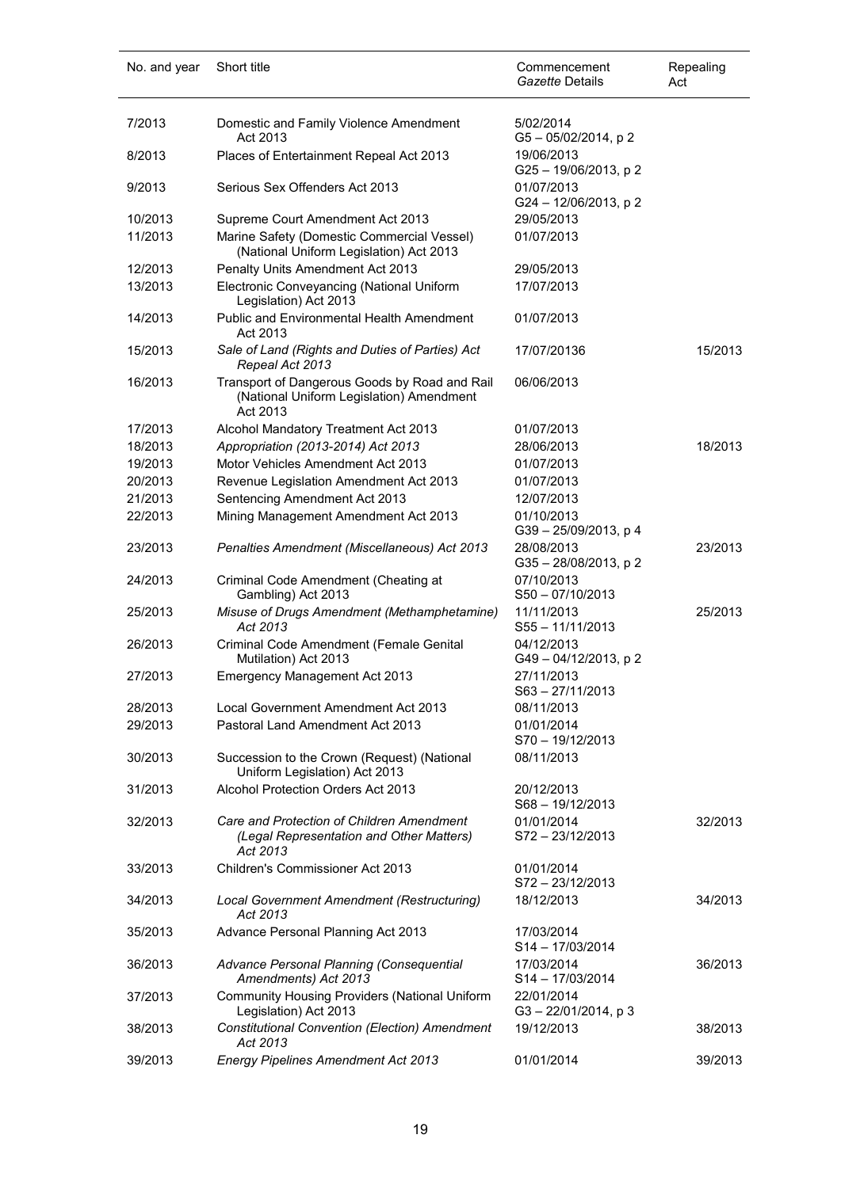| No. and year       | Short title                                                                                           | Commencement<br>Gazette Details     | Repealing<br>Act |
|--------------------|-------------------------------------------------------------------------------------------------------|-------------------------------------|------------------|
| 7/2013             | Domestic and Family Violence Amendment<br>Act 2013                                                    | 5/02/2014<br>G5-05/02/2014, p2      |                  |
| 8/2013             | Places of Entertainment Repeal Act 2013                                                               | 19/06/2013<br>G25-19/06/2013, p 2   |                  |
| 9/2013             | Serious Sex Offenders Act 2013                                                                        | 01/07/2013<br>G24 - 12/06/2013, p 2 |                  |
| 10/2013            | Supreme Court Amendment Act 2013                                                                      | 29/05/2013                          |                  |
| 11/2013            | Marine Safety (Domestic Commercial Vessel)<br>(National Uniform Legislation) Act 2013                 | 01/07/2013                          |                  |
| 12/2013            | Penalty Units Amendment Act 2013                                                                      | 29/05/2013                          |                  |
| 13/2013            | Electronic Conveyancing (National Uniform<br>Legislation) Act 2013                                    | 17/07/2013                          |                  |
| 14/2013            | <b>Public and Environmental Health Amendment</b><br>Act 2013                                          | 01/07/2013                          |                  |
| 15/2013            | Sale of Land (Rights and Duties of Parties) Act<br>Repeal Act 2013                                    | 17/07/20136                         | 15/2013          |
| 16/2013            | Transport of Dangerous Goods by Road and Rail<br>(National Uniform Legislation) Amendment<br>Act 2013 | 06/06/2013                          |                  |
| 17/2013            | Alcohol Mandatory Treatment Act 2013                                                                  | 01/07/2013                          |                  |
| 18/2013            | Appropriation (2013-2014) Act 2013                                                                    | 28/06/2013                          | 18/2013          |
| 19/2013            | Motor Vehicles Amendment Act 2013                                                                     | 01/07/2013                          |                  |
| 20/2013            | Revenue Legislation Amendment Act 2013                                                                | 01/07/2013                          |                  |
| 21/2013            | Sentencing Amendment Act 2013                                                                         | 12/07/2013                          |                  |
| 22/2013            | Mining Management Amendment Act 2013                                                                  | 01/10/2013<br>G39-25/09/2013, p 4   |                  |
| 23/2013            | Penalties Amendment (Miscellaneous) Act 2013                                                          | 28/08/2013<br>G35-28/08/2013, p2    | 23/2013          |
| 24/2013            | Criminal Code Amendment (Cheating at<br>Gambling) Act 2013                                            | 07/10/2013<br>$S50 - 07/10/2013$    |                  |
| 25/2013            | Misuse of Drugs Amendment (Methamphetamine)<br>Act 2013                                               | 11/11/2013<br>$S55 - 11/11/2013$    | 25/2013          |
| 26/2013            | Criminal Code Amendment (Female Genital<br>Mutilation) Act 2013                                       | 04/12/2013<br>G49-04/12/2013, p2    |                  |
| 27/2013            | <b>Emergency Management Act 2013</b>                                                                  | 27/11/2013<br>$S63 - 27/11/2013$    |                  |
| 28/2013<br>29/2013 | Local Government Amendment Act 2013                                                                   | 08/11/2013                          |                  |
|                    | Pastoral Land Amendment Act 2013                                                                      | 01/01/2014<br>S70-19/12/2013        |                  |
| 30/2013            | Succession to the Crown (Request) (National<br>Uniform Legislation) Act 2013                          | 08/11/2013                          |                  |
| 31/2013            | Alcohol Protection Orders Act 2013                                                                    | 20/12/2013<br>S68-19/12/2013        |                  |
| 32/2013            | Care and Protection of Children Amendment<br>(Legal Representation and Other Matters)<br>Act 2013     | 01/01/2014<br>S72-23/12/2013        | 32/2013          |
| 33/2013            | Children's Commissioner Act 2013                                                                      | 01/01/2014<br>S72-23/12/2013        |                  |
| 34/2013            | Local Government Amendment (Restructuring)<br>Act 2013                                                | 18/12/2013                          | 34/2013          |
| 35/2013            | Advance Personal Planning Act 2013                                                                    | 17/03/2014<br>S14-17/03/2014        |                  |
| 36/2013            | Advance Personal Planning (Consequential<br>Amendments) Act 2013                                      | 17/03/2014<br>S14-17/03/2014        | 36/2013          |
| 37/2013            | <b>Community Housing Providers (National Uniform</b><br>Legislation) Act 2013                         | 22/01/2014<br>G3-22/01/2014, p3     |                  |
| 38/2013            | Constitutional Convention (Election) Amendment<br>Act 2013                                            | 19/12/2013                          | 38/2013          |
| 39/2013            | <b>Energy Pipelines Amendment Act 2013</b>                                                            | 01/01/2014                          | 39/2013          |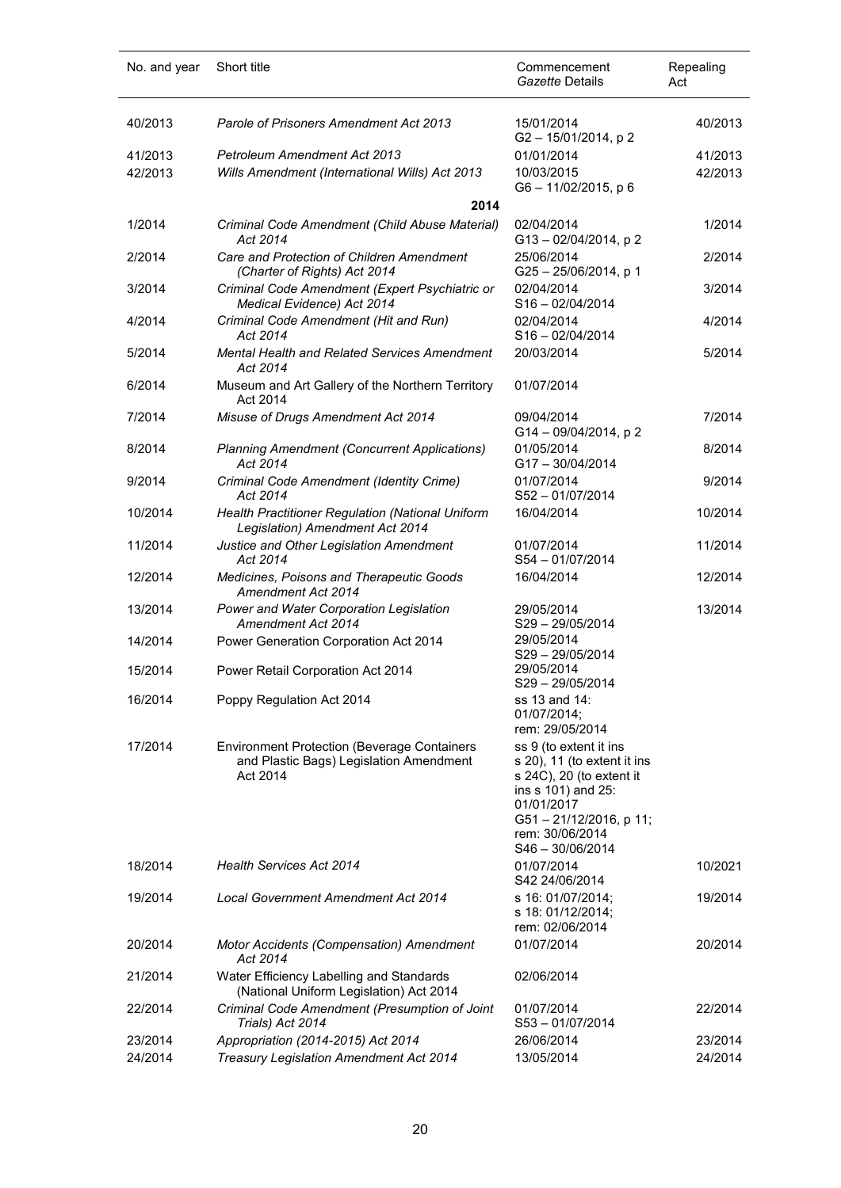| No. and year | Short title                                                                                               | Commencement<br>Gazette Details                                                                                                                                                       | Repealing<br>Act |
|--------------|-----------------------------------------------------------------------------------------------------------|---------------------------------------------------------------------------------------------------------------------------------------------------------------------------------------|------------------|
| 40/2013      | Parole of Prisoners Amendment Act 2013                                                                    | 15/01/2014<br>G2-15/01/2014, p2                                                                                                                                                       | 40/2013          |
| 41/2013      | <b>Petroleum Amendment Act 2013</b>                                                                       | 01/01/2014                                                                                                                                                                            | 41/2013          |
| 42/2013      | Wills Amendment (International Wills) Act 2013<br>2014                                                    | 10/03/2015<br>G6-11/02/2015, p 6                                                                                                                                                      | 42/2013          |
|              |                                                                                                           |                                                                                                                                                                                       |                  |
| 1/2014       | Criminal Code Amendment (Child Abuse Material)<br>Act 2014                                                | 02/04/2014<br>G13-02/04/2014, p2                                                                                                                                                      | 1/2014           |
| 2/2014       | Care and Protection of Children Amendment<br>(Charter of Rights) Act 2014                                 | 25/06/2014<br>$G25 - 25/06/2014$ , p 1                                                                                                                                                | 2/2014           |
| 3/2014       | Criminal Code Amendment (Expert Psychiatric or<br>Medical Evidence) Act 2014                              | 02/04/2014<br>$S16 - 02/04/2014$                                                                                                                                                      | 3/2014           |
| 4/2014       | Criminal Code Amendment (Hit and Run)<br>Act 2014                                                         | 02/04/2014<br>$S16 - 02/04/2014$                                                                                                                                                      | 4/2014           |
| 5/2014       | Mental Health and Related Services Amendment                                                              | 20/03/2014                                                                                                                                                                            | 5/2014           |
| 6/2014       | Act 2014<br>Museum and Art Gallery of the Northern Territory<br>Act 2014                                  | 01/07/2014                                                                                                                                                                            |                  |
| 7/2014       | Misuse of Drugs Amendment Act 2014                                                                        | 09/04/2014<br>G14 - 09/04/2014, p 2                                                                                                                                                   | 7/2014           |
| 8/2014       | <b>Planning Amendment (Concurrent Applications)</b><br>Act 2014                                           | 01/05/2014<br>G17-30/04/2014                                                                                                                                                          | 8/2014           |
| 9/2014       | Criminal Code Amendment (Identity Crime)<br>Act 2014                                                      | 01/07/2014<br>S52-01/07/2014                                                                                                                                                          | 9/2014           |
| 10/2014      | Health Practitioner Regulation (National Uniform<br>Legislation) Amendment Act 2014                       | 16/04/2014                                                                                                                                                                            | 10/2014          |
| 11/2014      | Justice and Other Legislation Amendment<br>Act 2014                                                       | 01/07/2014<br>S54-01/07/2014                                                                                                                                                          | 11/2014          |
| 12/2014      | Medicines, Poisons and Therapeutic Goods<br>Amendment Act 2014                                            | 16/04/2014                                                                                                                                                                            | 12/2014          |
| 13/2014      | Power and Water Corporation Legislation<br>Amendment Act 2014                                             | 29/05/2014<br>S29-29/05/2014                                                                                                                                                          | 13/2014          |
| 14/2014      | Power Generation Corporation Act 2014                                                                     | 29/05/2014<br>S29-29/05/2014                                                                                                                                                          |                  |
| 15/2014      | Power Retail Corporation Act 2014                                                                         | 29/05/2014<br>$S29 - 29/05/2014$                                                                                                                                                      |                  |
| 16/2014      | Poppy Regulation Act 2014                                                                                 | ss 13 and 14:<br>01/07/2014;<br>rem: 29/05/2014                                                                                                                                       |                  |
| 17/2014      | <b>Environment Protection (Beverage Containers</b><br>and Plastic Bags) Legislation Amendment<br>Act 2014 | ss 9 (to extent it ins<br>s 20), 11 (to extent it ins<br>s 24C), 20 (to extent it<br>ins s 101) and 25:<br>01/01/2017<br>G51-21/12/2016, p 11;<br>rem: 30/06/2014<br>S46 - 30/06/2014 |                  |
| 18/2014      | <b>Health Services Act 2014</b>                                                                           | 01/07/2014<br>S42 24/06/2014                                                                                                                                                          | 10/2021          |
| 19/2014      | Local Government Amendment Act 2014                                                                       | s 16: 01/07/2014;<br>s 18: 01/12/2014;<br>rem: 02/06/2014                                                                                                                             | 19/2014          |
| 20/2014      | Motor Accidents (Compensation) Amendment<br>Act 2014                                                      | 01/07/2014                                                                                                                                                                            | 20/2014          |
| 21/2014      | Water Efficiency Labelling and Standards<br>(National Uniform Legislation) Act 2014                       | 02/06/2014                                                                                                                                                                            |                  |
| 22/2014      | Criminal Code Amendment (Presumption of Joint<br>Trials) Act 2014                                         | 01/07/2014<br>$S53 - 01/07/2014$                                                                                                                                                      | 22/2014          |
| 23/2014      | Appropriation (2014-2015) Act 2014                                                                        | 26/06/2014                                                                                                                                                                            | 23/2014          |
| 24/2014      | Treasury Legislation Amendment Act 2014                                                                   | 13/05/2014                                                                                                                                                                            | 24/2014          |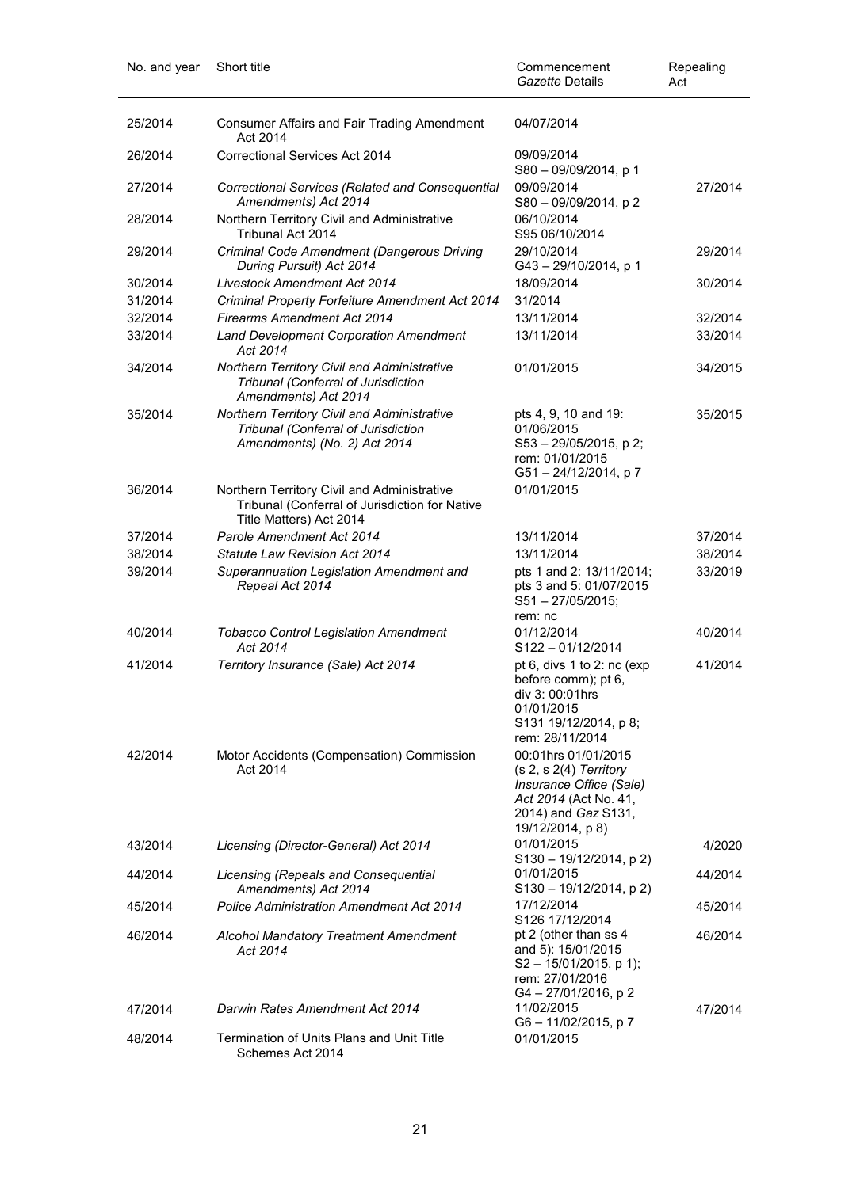| No. and year | Short title                                                                                                              | Commencement<br>Gazette Details                                                                                                                | Repealing<br>Act |
|--------------|--------------------------------------------------------------------------------------------------------------------------|------------------------------------------------------------------------------------------------------------------------------------------------|------------------|
| 25/2014      | <b>Consumer Affairs and Fair Trading Amendment</b><br>Act 2014                                                           | 04/07/2014                                                                                                                                     |                  |
| 26/2014      | Correctional Services Act 2014                                                                                           | 09/09/2014<br>S80 - 09/09/2014, p 1                                                                                                            |                  |
| 27/2014      | Correctional Services (Related and Consequential<br>Amendments) Act 2014                                                 | 09/09/2014<br>S80 - 09/09/2014, p 2                                                                                                            | 27/2014          |
| 28/2014      | Northern Territory Civil and Administrative<br>Tribunal Act 2014                                                         | 06/10/2014<br>S95 06/10/2014                                                                                                                   |                  |
| 29/2014      | Criminal Code Amendment (Dangerous Driving<br>During Pursuit) Act 2014                                                   | 29/10/2014<br>G43-29/10/2014, p 1                                                                                                              | 29/2014          |
| 30/2014      | <b>Livestock Amendment Act 2014</b>                                                                                      | 18/09/2014                                                                                                                                     | 30/2014          |
| 31/2014      | Criminal Property Forfeiture Amendment Act 2014                                                                          | 31/2014                                                                                                                                        |                  |
| 32/2014      | <b>Firearms Amendment Act 2014</b>                                                                                       | 13/11/2014                                                                                                                                     | 32/2014          |
| 33/2014      | <b>Land Development Corporation Amendment</b><br>Act 2014                                                                | 13/11/2014                                                                                                                                     | 33/2014          |
| 34/2014      | Northern Territory Civil and Administrative<br>Tribunal (Conferral of Jurisdiction<br>Amendments) Act 2014               | 01/01/2015                                                                                                                                     | 34/2015          |
| 35/2014      | Northern Territory Civil and Administrative<br>Tribunal (Conferral of Jurisdiction<br>Amendments) (No. 2) Act 2014       | pts 4, 9, 10 and 19:<br>01/06/2015<br>$S53 - 29/05/2015$ , p 2;<br>rem: 01/01/2015<br>G51-24/12/2014, p7                                       | 35/2015          |
| 36/2014      | Northern Territory Civil and Administrative<br>Tribunal (Conferral of Jurisdiction for Native<br>Title Matters) Act 2014 | 01/01/2015                                                                                                                                     |                  |
| 37/2014      | Parole Amendment Act 2014                                                                                                | 13/11/2014                                                                                                                                     | 37/2014          |
| 38/2014      | <b>Statute Law Revision Act 2014</b>                                                                                     | 13/11/2014                                                                                                                                     | 38/2014          |
| 39/2014      | Superannuation Legislation Amendment and<br>Repeal Act 2014                                                              | pts 1 and 2: 13/11/2014;<br>pts 3 and 5: 01/07/2015<br>S51-27/05/2015;<br>rem: nc                                                              | 33/2019          |
| 40/2014      | <b>Tobacco Control Legislation Amendment</b><br>Act 2014                                                                 | 01/12/2014<br>S122-01/12/2014                                                                                                                  | 40/2014          |
| 41/2014      | Territory Insurance (Sale) Act 2014                                                                                      | pt 6, divs 1 to 2: nc (exp<br>before comm); pt 6,<br>div 3: 00:01hrs<br>01/01/2015<br>S131 19/12/2014, p 8;<br>rem: 28/11/2014                 | 41/2014          |
| 42/2014      | Motor Accidents (Compensation) Commission<br>Act 2014                                                                    | 00:01hrs 01/01/2015<br>$(s 2, s 2(4)$ Territory<br>Insurance Office (Sale)<br>Act 2014 (Act No. 41,<br>2014) and Gaz S131,<br>19/12/2014, p 8) |                  |
| 43/2014      | Licensing (Director-General) Act 2014                                                                                    | 01/01/2015<br>$S130 - 19/12/2014$ , p 2)                                                                                                       | 4/2020           |
| 44/2014      | Licensing (Repeals and Consequential<br>Amendments) Act 2014                                                             | 01/01/2015<br>$S130 - 19/12/2014$ , p 2)                                                                                                       | 44/2014          |
| 45/2014      | <b>Police Administration Amendment Act 2014</b>                                                                          | 17/12/2014<br>S126 17/12/2014                                                                                                                  | 45/2014          |
| 46/2014      | Alcohol Mandatory Treatment Amendment<br>Act 2014                                                                        | pt 2 (other than ss 4<br>and 5): 15/01/2015<br>$S2 - 15/01/2015$ , p 1);<br>rem: 27/01/2016<br>G4-27/01/2016, p2                               | 46/2014          |
| 47/2014      | Darwin Rates Amendment Act 2014                                                                                          | 11/02/2015<br>G6-11/02/2015, p 7                                                                                                               | 47/2014          |
| 48/2014      | Termination of Units Plans and Unit Title<br>Schemes Act 2014                                                            | 01/01/2015                                                                                                                                     |                  |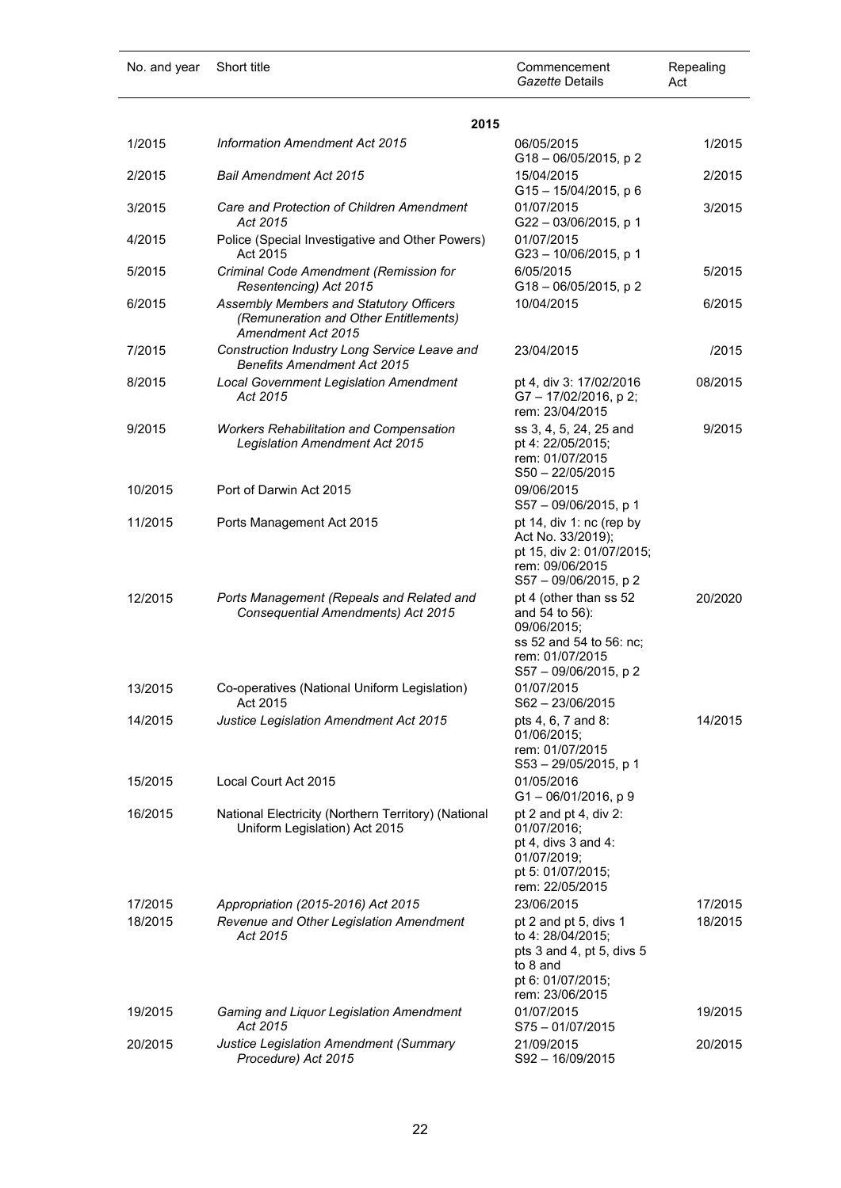| No. and year | Short title                                                                                            | Commencement<br>Gazette Details                                                                                                | Repealing<br>Act |
|--------------|--------------------------------------------------------------------------------------------------------|--------------------------------------------------------------------------------------------------------------------------------|------------------|
|              | 2015                                                                                                   |                                                                                                                                |                  |
| 1/2015       | Information Amendment Act 2015                                                                         | 06/05/2015<br>G18-06/05/2015, p2                                                                                               | 1/2015           |
| 2/2015       | <b>Bail Amendment Act 2015</b>                                                                         | 15/04/2015<br>$G15 - 15/04/2015$ , p 6                                                                                         | 2/2015           |
| 3/2015       | Care and Protection of Children Amendment<br>Act 2015                                                  | 01/07/2015<br>G22-03/06/2015, p 1                                                                                              | 3/2015           |
| 4/2015       | Police (Special Investigative and Other Powers)<br>Act 2015                                            | 01/07/2015<br>G23-10/06/2015, p 1                                                                                              |                  |
| 5/2015       | Criminal Code Amendment (Remission for<br>Resentencing) Act 2015                                       | 6/05/2015<br>G18-06/05/2015, p2                                                                                                | 5/2015           |
| 6/2015       | Assembly Members and Statutory Officers<br>(Remuneration and Other Entitlements)<br>Amendment Act 2015 | 10/04/2015                                                                                                                     | 6/2015           |
| 7/2015       | Construction Industry Long Service Leave and<br><b>Benefits Amendment Act 2015</b>                     | 23/04/2015                                                                                                                     | /2015            |
| 8/2015       | <b>Local Government Legislation Amendment</b><br>Act 2015                                              | pt 4, div 3: 17/02/2016<br>G7-17/02/2016, p2;<br>rem: 23/04/2015                                                               | 08/2015          |
| 9/2015       | <b>Workers Rehabilitation and Compensation</b><br><b>Legislation Amendment Act 2015</b>                | ss 3, 4, 5, 24, 25 and<br>pt 4: 22/05/2015;<br>rem: 01/07/2015<br>$S50 - 22/05/2015$                                           | 9/2015           |
| 10/2015      | Port of Darwin Act 2015                                                                                | 09/06/2015<br>S57 - 09/06/2015, p 1                                                                                            |                  |
| 11/2015      | Ports Management Act 2015                                                                              | pt 14, div 1: $nc$ (rep by<br>Act No. 33/2019);<br>pt 15, div 2: 01/07/2015;<br>rem: 09/06/2015<br>S57 - 09/06/2015, p 2       |                  |
| 12/2015      | Ports Management (Repeals and Related and<br>Consequential Amendments) Act 2015                        | pt 4 (other than ss 52<br>and 54 to 56):<br>09/06/2015;<br>ss 52 and 54 to 56: nc;<br>rem: 01/07/2015<br>S57 - 09/06/2015, p 2 | 20/2020          |
| 13/2015      | Co-operatives (National Uniform Legislation)<br>Act 2015                                               | 01/07/2015<br>S62-23/06/2015                                                                                                   |                  |
| 14/2015      | Justice Legislation Amendment Act 2015                                                                 | pts 4, 6, 7 and 8:<br>01/06/2015;<br>rem: 01/07/2015<br>S53-29/05/2015, p 1                                                    | 14/2015          |
| 15/2015      | Local Court Act 2015                                                                                   | 01/05/2016<br>$G1 - 06/01/2016$ , p 9                                                                                          |                  |
| 16/2015      | National Electricity (Northern Territory) (National<br>Uniform Legislation) Act 2015                   | pt 2 and pt 4, div 2:<br>01/07/2016;<br>pt 4, divs $3$ and $4$ :<br>01/07/2019;<br>pt 5: 01/07/2015;<br>rem: 22/05/2015        |                  |
| 17/2015      | Appropriation (2015-2016) Act 2015                                                                     | 23/06/2015                                                                                                                     | 17/2015          |
| 18/2015      | Revenue and Other Legislation Amendment<br>Act 2015                                                    | pt 2 and pt 5, divs 1<br>to 4: 28/04/2015;<br>pts 3 and 4, pt 5, divs 5<br>to 8 and<br>pt 6: 01/07/2015;<br>rem: 23/06/2015    | 18/2015          |
| 19/2015      | Gaming and Liquor Legislation Amendment<br>Act 2015                                                    | 01/07/2015<br>$S75 - 01/07/2015$                                                                                               | 19/2015          |
| 20/2015      | Justice Legislation Amendment (Summary<br>Procedure) Act 2015                                          | 21/09/2015<br>S92-16/09/2015                                                                                                   | 20/2015          |